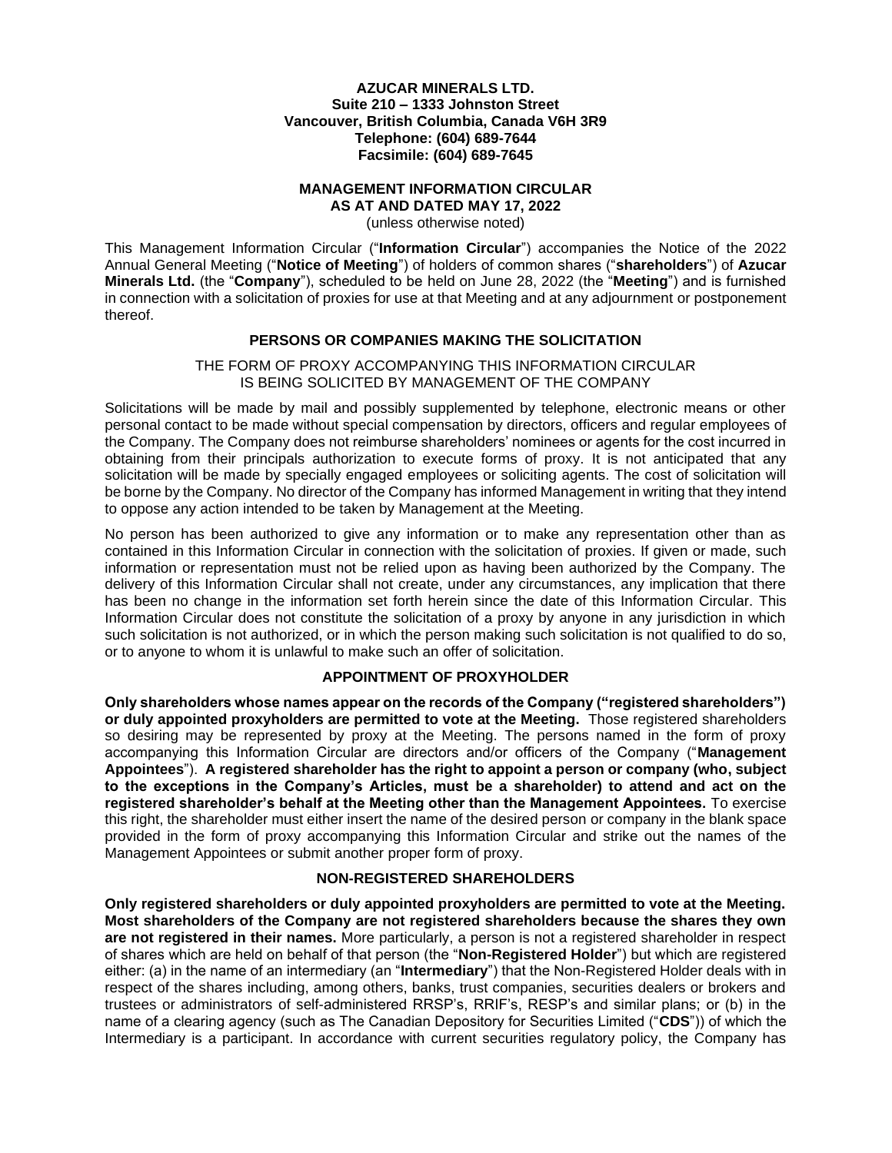### **AZUCAR MINERALS LTD. Suite 210 – 1333 Johnston Street Vancouver, British Columbia, Canada V6H 3R9 Telephone: (604) 689-7644 Facsimile: (604) 689-7645**

#### **MANAGEMENT INFORMATION CIRCULAR AS AT AND DATED MAY 17, 2022**

(unless otherwise noted)

This Management Information Circular ("**Information Circular**") accompanies the Notice of the 2022 Annual General Meeting ("**Notice of Meeting**") of holders of common shares ("**shareholders**") of **Azucar Minerals Ltd.** (the "**Company**"), scheduled to be held on June 28, 2022 (the "**Meeting**") and is furnished in connection with a solicitation of proxies for use at that Meeting and at any adjournment or postponement thereof.

## **PERSONS OR COMPANIES MAKING THE SOLICITATION**

### THE FORM OF PROXY ACCOMPANYING THIS INFORMATION CIRCULAR IS BEING SOLICITED BY MANAGEMENT OF THE COMPANY

Solicitations will be made by mail and possibly supplemented by telephone, electronic means or other personal contact to be made without special compensation by directors, officers and regular employees of the Company. The Company does not reimburse shareholders' nominees or agents for the cost incurred in obtaining from their principals authorization to execute forms of proxy. It is not anticipated that any solicitation will be made by specially engaged employees or soliciting agents. The cost of solicitation will be borne by the Company. No director of the Company has informed Management in writing that they intend to oppose any action intended to be taken by Management at the Meeting.

No person has been authorized to give any information or to make any representation other than as contained in this Information Circular in connection with the solicitation of proxies. If given or made, such information or representation must not be relied upon as having been authorized by the Company. The delivery of this Information Circular shall not create, under any circumstances, any implication that there has been no change in the information set forth herein since the date of this Information Circular. This Information Circular does not constitute the solicitation of a proxy by anyone in any jurisdiction in which such solicitation is not authorized, or in which the person making such solicitation is not qualified to do so, or to anyone to whom it is unlawful to make such an offer of solicitation.

### **APPOINTMENT OF PROXYHOLDER**

**Only shareholders whose names appear on the records of the Company ("registered shareholders") or duly appointed proxyholders are permitted to vote at the Meeting.** Those registered shareholders so desiring may be represented by proxy at the Meeting. The persons named in the form of proxy accompanying this Information Circular are directors and/or officers of the Company ("**Management Appointees**"). **A registered shareholder has the right to appoint a person or company (who, subject to the exceptions in the Company's Articles, must be a shareholder) to attend and act on the registered shareholder's behalf at the Meeting other than the Management Appointees.** To exercise this right, the shareholder must either insert the name of the desired person or company in the blank space provided in the form of proxy accompanying this Information Circular and strike out the names of the Management Appointees or submit another proper form of proxy.

### **NON-REGISTERED SHAREHOLDERS**

**Only registered shareholders or duly appointed proxyholders are permitted to vote at the Meeting. Most shareholders of the Company are not registered shareholders because the shares they own are not registered in their names.** More particularly, a person is not a registered shareholder in respect of shares which are held on behalf of that person (the "**Non-Registered Holder**") but which are registered either: (a) in the name of an intermediary (an "**Intermediary**") that the Non-Registered Holder deals with in respect of the shares including, among others, banks, trust companies, securities dealers or brokers and trustees or administrators of self-administered RRSP's, RRIF's, RESP's and similar plans; or (b) in the name of a clearing agency (such as The Canadian Depository for Securities Limited ("**CDS**")) of which the Intermediary is a participant. In accordance with current securities regulatory policy, the Company has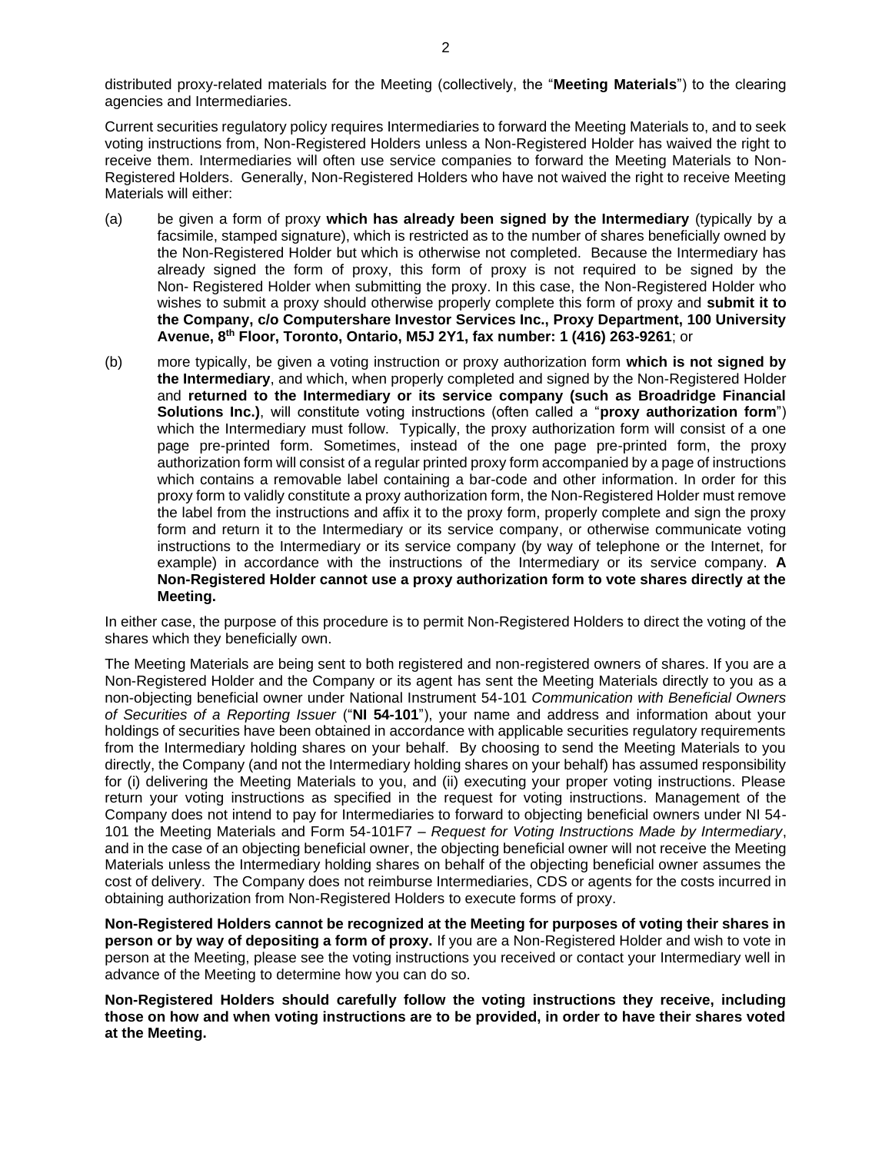Current securities regulatory policy requires Intermediaries to forward the Meeting Materials to, and to seek voting instructions from, Non-Registered Holders unless a Non-Registered Holder has waived the right to receive them. Intermediaries will often use service companies to forward the Meeting Materials to Non-Registered Holders. Generally, Non-Registered Holders who have not waived the right to receive Meeting Materials will either:

- (a) be given a form of proxy **which has already been signed by the Intermediary** (typically by a facsimile, stamped signature), which is restricted as to the number of shares beneficially owned by the Non-Registered Holder but which is otherwise not completed. Because the Intermediary has already signed the form of proxy, this form of proxy is not required to be signed by the Non- Registered Holder when submitting the proxy. In this case, the Non-Registered Holder who wishes to submit a proxy should otherwise properly complete this form of proxy and **submit it to the Company, c/o Computershare Investor Services Inc., Proxy Department, 100 University Avenue, 8 th Floor, Toronto, Ontario, M5J 2Y1, fax number: 1 (416) 263-9261**; or
- (b) more typically, be given a voting instruction or proxy authorization form **which is not signed by the Intermediary**, and which, when properly completed and signed by the Non-Registered Holder and **returned to the Intermediary or its service company (such as Broadridge Financial Solutions Inc.)**, will constitute voting instructions (often called a "**proxy authorization form**") which the Intermediary must follow. Typically, the proxy authorization form will consist of a one page pre-printed form. Sometimes, instead of the one page pre-printed form, the proxy authorization form will consist of a regular printed proxy form accompanied by a page of instructions which contains a removable label containing a bar-code and other information. In order for this proxy form to validly constitute a proxy authorization form, the Non-Registered Holder must remove the label from the instructions and affix it to the proxy form, properly complete and sign the proxy form and return it to the Intermediary or its service company, or otherwise communicate voting instructions to the Intermediary or its service company (by way of telephone or the Internet, for example) in accordance with the instructions of the Intermediary or its service company. **A Non-Registered Holder cannot use a proxy authorization form to vote shares directly at the Meeting.**

In either case, the purpose of this procedure is to permit Non-Registered Holders to direct the voting of the shares which they beneficially own.

The Meeting Materials are being sent to both registered and non-registered owners of shares. If you are a Non-Registered Holder and the Company or its agent has sent the Meeting Materials directly to you as a non-objecting beneficial owner under National Instrument 54-101 *Communication with Beneficial Owners of Securities of a Reporting Issuer* ("**NI 54-101**"), your name and address and information about your holdings of securities have been obtained in accordance with applicable securities regulatory requirements from the Intermediary holding shares on your behalf. By choosing to send the Meeting Materials to you directly, the Company (and not the Intermediary holding shares on your behalf) has assumed responsibility for (i) delivering the Meeting Materials to you, and (ii) executing your proper voting instructions. Please return your voting instructions as specified in the request for voting instructions. Management of the Company does not intend to pay for Intermediaries to forward to objecting beneficial owners under NI 54- 101 the Meeting Materials and Form 54-101F7 – *Request for Voting Instructions Made by Intermediary*, and in the case of an objecting beneficial owner, the objecting beneficial owner will not receive the Meeting Materials unless the Intermediary holding shares on behalf of the objecting beneficial owner assumes the cost of delivery. The Company does not reimburse Intermediaries, CDS or agents for the costs incurred in obtaining authorization from Non-Registered Holders to execute forms of proxy.

**Non-Registered Holders cannot be recognized at the Meeting for purposes of voting their shares in person or by way of depositing a form of proxy.** If you are a Non-Registered Holder and wish to vote in person at the Meeting, please see the voting instructions you received or contact your Intermediary well in advance of the Meeting to determine how you can do so.

**Non-Registered Holders should carefully follow the voting instructions they receive, including those on how and when voting instructions are to be provided, in order to have their shares voted at the Meeting.**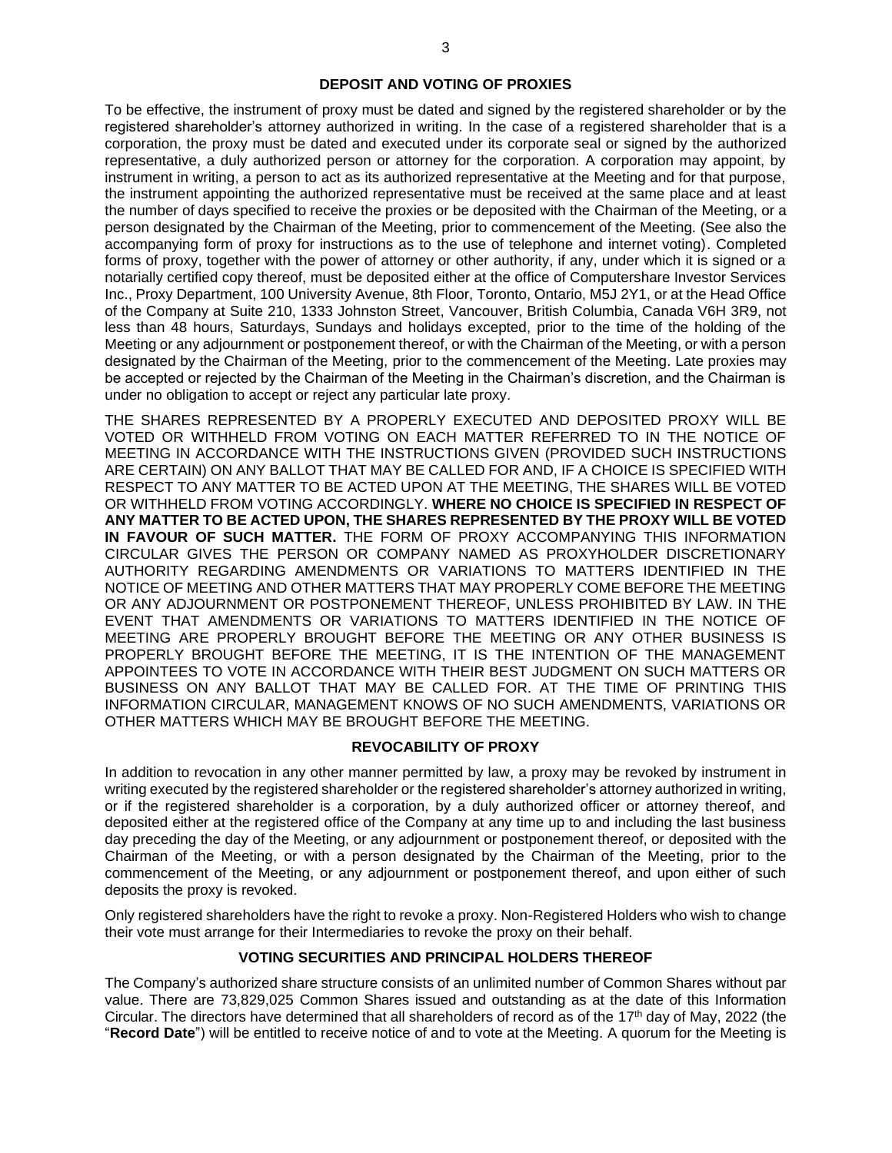#### **DEPOSIT AND VOTING OF PROXIES**

To be effective, the instrument of proxy must be dated and signed by the registered shareholder or by the registered shareholder's attorney authorized in writing. In the case of a registered shareholder that is a corporation, the proxy must be dated and executed under its corporate seal or signed by the authorized representative, a duly authorized person or attorney for the corporation. A corporation may appoint, by instrument in writing, a person to act as its authorized representative at the Meeting and for that purpose, the instrument appointing the authorized representative must be received at the same place and at least the number of days specified to receive the proxies or be deposited with the Chairman of the Meeting, or a person designated by the Chairman of the Meeting, prior to commencement of the Meeting. (See also the accompanying form of proxy for instructions as to the use of telephone and internet voting). Completed forms of proxy, together with the power of attorney or other authority, if any, under which it is signed or a notarially certified copy thereof, must be deposited either at the office of Computershare Investor Services Inc., Proxy Department, 100 University Avenue, 8th Floor, Toronto, Ontario, M5J 2Y1, or at the Head Office of the Company at Suite 210, 1333 Johnston Street, Vancouver, British Columbia, Canada V6H 3R9, not less than 48 hours, Saturdays, Sundays and holidays excepted, prior to the time of the holding of the Meeting or any adjournment or postponement thereof, or with the Chairman of the Meeting, or with a person designated by the Chairman of the Meeting, prior to the commencement of the Meeting. Late proxies may be accepted or rejected by the Chairman of the Meeting in the Chairman's discretion, and the Chairman is under no obligation to accept or reject any particular late proxy.

THE SHARES REPRESENTED BY A PROPERLY EXECUTED AND DEPOSITED PROXY WILL BE VOTED OR WITHHELD FROM VOTING ON EACH MATTER REFERRED TO IN THE NOTICE OF MEETING IN ACCORDANCE WITH THE INSTRUCTIONS GIVEN (PROVIDED SUCH INSTRUCTIONS ARE CERTAIN) ON ANY BALLOT THAT MAY BE CALLED FOR AND, IF A CHOICE IS SPECIFIED WITH RESPECT TO ANY MATTER TO BE ACTED UPON AT THE MEETING, THE SHARES WILL BE VOTED OR WITHHELD FROM VOTING ACCORDINGLY. **WHERE NO CHOICE IS SPECIFIED IN RESPECT OF ANY MATTER TO BE ACTED UPON, THE SHARES REPRESENTED BY THE PROXY WILL BE VOTED IN FAVOUR OF SUCH MATTER.** THE FORM OF PROXY ACCOMPANYING THIS INFORMATION CIRCULAR GIVES THE PERSON OR COMPANY NAMED AS PROXYHOLDER DISCRETIONARY AUTHORITY REGARDING AMENDMENTS OR VARIATIONS TO MATTERS IDENTIFIED IN THE NOTICE OF MEETING AND OTHER MATTERS THAT MAY PROPERLY COME BEFORE THE MEETING OR ANY ADJOURNMENT OR POSTPONEMENT THEREOF, UNLESS PROHIBITED BY LAW. IN THE EVENT THAT AMENDMENTS OR VARIATIONS TO MATTERS IDENTIFIED IN THE NOTICE OF MEETING ARE PROPERLY BROUGHT BEFORE THE MEETING OR ANY OTHER BUSINESS IS PROPERLY BROUGHT BEFORE THE MEETING, IT IS THE INTENTION OF THE MANAGEMENT APPOINTEES TO VOTE IN ACCORDANCE WITH THEIR BEST JUDGMENT ON SUCH MATTERS OR BUSINESS ON ANY BALLOT THAT MAY BE CALLED FOR. AT THE TIME OF PRINTING THIS INFORMATION CIRCULAR, MANAGEMENT KNOWS OF NO SUCH AMENDMENTS, VARIATIONS OR OTHER MATTERS WHICH MAY BE BROUGHT BEFORE THE MEETING.

### **REVOCABILITY OF PROXY**

In addition to revocation in any other manner permitted by law, a proxy may be revoked by instrument in writing executed by the registered shareholder or the registered shareholder's attorney authorized in writing, or if the registered shareholder is a corporation, by a duly authorized officer or attorney thereof, and deposited either at the registered office of the Company at any time up to and including the last business day preceding the day of the Meeting, or any adjournment or postponement thereof, or deposited with the Chairman of the Meeting, or with a person designated by the Chairman of the Meeting, prior to the commencement of the Meeting, or any adjournment or postponement thereof, and upon either of such deposits the proxy is revoked.

Only registered shareholders have the right to revoke a proxy. Non-Registered Holders who wish to change their vote must arrange for their Intermediaries to revoke the proxy on their behalf.

### **VOTING SECURITIES AND PRINCIPAL HOLDERS THEREOF**

The Company's authorized share structure consists of an unlimited number of Common Shares without par value. There are 73,829,025 Common Shares issued and outstanding as at the date of this Information Circular. The directors have determined that all shareholders of record as of the 17<sup>th</sup> day of May, 2022 (the "**Record Date**") will be entitled to receive notice of and to vote at the Meeting. A quorum for the Meeting is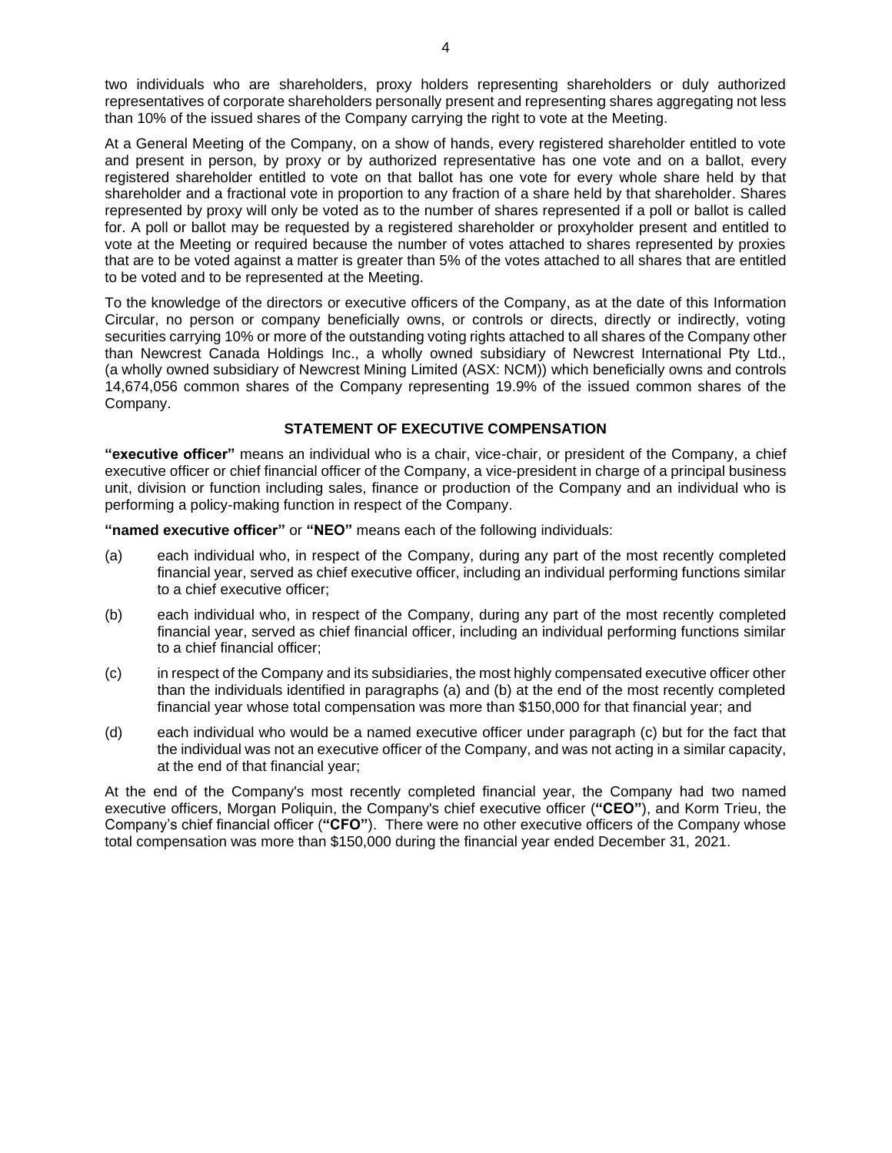two individuals who are shareholders, proxy holders representing shareholders or duly authorized representatives of corporate shareholders personally present and representing shares aggregating not less than 10% of the issued shares of the Company carrying the right to vote at the Meeting.

At a General Meeting of the Company, on a show of hands, every registered shareholder entitled to vote and present in person, by proxy or by authorized representative has one vote and on a ballot, every registered shareholder entitled to vote on that ballot has one vote for every whole share held by that shareholder and a fractional vote in proportion to any fraction of a share held by that shareholder. Shares represented by proxy will only be voted as to the number of shares represented if a poll or ballot is called for. A poll or ballot may be requested by a registered shareholder or proxyholder present and entitled to vote at the Meeting or required because the number of votes attached to shares represented by proxies that are to be voted against a matter is greater than 5% of the votes attached to all shares that are entitled to be voted and to be represented at the Meeting.

To the knowledge of the directors or executive officers of the Company, as at the date of this Information Circular, no person or company beneficially owns, or controls or directs, directly or indirectly, voting securities carrying 10% or more of the outstanding voting rights attached to all shares of the Company other than Newcrest Canada Holdings Inc., a wholly owned subsidiary of Newcrest International Pty Ltd., (a wholly owned subsidiary of Newcrest Mining Limited (ASX: NCM)) which beneficially owns and controls 14,674,056 common shares of the Company representing 19.9% of the issued common shares of the Company.

# **STATEMENT OF EXECUTIVE COMPENSATION**

**"executive officer"** means an individual who is a chair, vice-chair, or president of the Company, a chief executive officer or chief financial officer of the Company, a vice-president in charge of a principal business unit, division or function including sales, finance or production of the Company and an individual who is performing a policy-making function in respect of the Company.

**"named executive officer"** or **"NEO"** means each of the following individuals:

- (a) each individual who, in respect of the Company, during any part of the most recently completed financial year, served as chief executive officer, including an individual performing functions similar to a chief executive officer;
- (b) each individual who, in respect of the Company, during any part of the most recently completed financial year, served as chief financial officer, including an individual performing functions similar to a chief financial officer;
- (c) in respect of the Company and its subsidiaries, the most highly compensated executive officer other than the individuals identified in paragraphs (a) and (b) at the end of the most recently completed financial year whose total compensation was more than \$150,000 for that financial year; and
- (d) each individual who would be a named executive officer under paragraph (c) but for the fact that the individual was not an executive officer of the Company, and was not acting in a similar capacity, at the end of that financial year;

At the end of the Company's most recently completed financial year, the Company had two named executive officers, Morgan Poliquin, the Company's chief executive officer (**"CEO"**), and Korm Trieu, the Company's chief financial officer (**"CFO"**). There were no other executive officers of the Company whose total compensation was more than \$150,000 during the financial year ended December 31, 2021.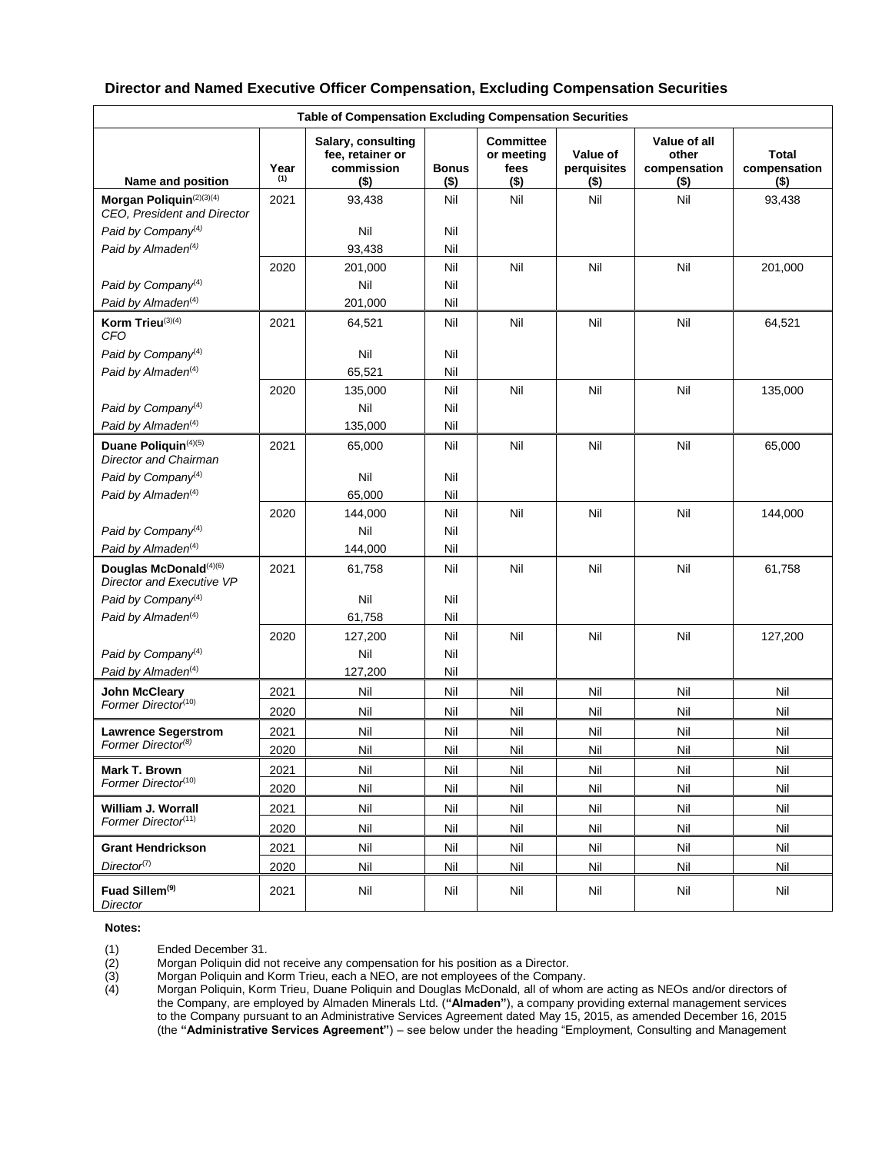| <b>Table of Compensation Excluding Compensation Securities</b> |             |                                                                 |                         |                                                   |                                    |                                                  |                                         |
|----------------------------------------------------------------|-------------|-----------------------------------------------------------------|-------------------------|---------------------------------------------------|------------------------------------|--------------------------------------------------|-----------------------------------------|
| Name and position                                              | Year<br>(1) | Salary, consulting<br>fee, retainer or<br>commission<br>$($ \$) | <b>Bonus</b><br>$($ \$) | <b>Committee</b><br>or meeting<br>fees<br>$($ \$) | Value of<br>perquisites<br>$($ \$) | Value of all<br>other<br>compensation<br>$($ \$) | <b>Total</b><br>compensation<br>$($ \$) |
| Morgan Poliquin(2)(3)(4)<br>CEO, President and Director        | 2021        | 93,438                                                          | Nil                     | Nil                                               | Nil                                | Nil                                              | 93,438                                  |
| Paid by Company <sup>(4)</sup>                                 |             | Nil                                                             | Nil                     |                                                   |                                    |                                                  |                                         |
| Paid by Almaden <sup>(4)</sup>                                 |             | 93,438                                                          | Nil                     |                                                   |                                    |                                                  |                                         |
|                                                                | 2020        | 201,000                                                         | Nil                     | Nil                                               | Nil                                | Nil                                              | 201,000                                 |
| Paid by Company <sup>(4)</sup>                                 |             | Nil                                                             | Nil                     |                                                   |                                    |                                                  |                                         |
| Paid by Almaden <sup>(4)</sup>                                 |             | 201,000                                                         | Nil                     |                                                   |                                    |                                                  |                                         |
| Korm Trieu(3)(4)<br><b>CFO</b>                                 | 2021        | 64,521                                                          | Nil                     | Nil                                               | Nil                                | Nil                                              | 64,521                                  |
| Paid by Company <sup>(4)</sup>                                 |             | Nil                                                             | Nil                     |                                                   |                                    |                                                  |                                         |
| Paid by Almaden <sup>(4)</sup>                                 |             | 65,521                                                          | Nil                     |                                                   |                                    |                                                  |                                         |
|                                                                | 2020        | 135,000                                                         | Nil                     | Nil                                               | Nil                                | Nil                                              | 135,000                                 |
| Paid by Company <sup>(4)</sup>                                 |             | Nil                                                             | Nil                     |                                                   |                                    |                                                  |                                         |
| Paid by Almaden <sup>(4)</sup>                                 |             | 135,000                                                         | Nil                     |                                                   |                                    |                                                  |                                         |
| Duane Poliquin(4)(5)<br><b>Director and Chairman</b>           | 2021        | 65,000                                                          | Nil                     | Nil                                               | Nil                                | Nil                                              | 65,000                                  |
| Paid by Company <sup>(4)</sup>                                 |             | Nil                                                             | Nil                     |                                                   |                                    |                                                  |                                         |
| Paid by Almaden <sup>(4)</sup>                                 |             | 65,000                                                          | Nil                     |                                                   |                                    |                                                  |                                         |
|                                                                | 2020        | 144,000                                                         | Nil                     | Nil                                               | Nil                                | Nil                                              | 144.000                                 |
| Paid by Company <sup>(4)</sup>                                 |             | Nil                                                             | Nil                     |                                                   |                                    |                                                  |                                         |
| Paid by Almaden <sup>(4)</sup>                                 |             | 144,000                                                         | Nil                     |                                                   |                                    |                                                  |                                         |
| Douglas McDonald(4)(6)<br>Director and Executive VP            | 2021        | 61,758                                                          | Nil                     | Nil                                               | Nil                                | Nil                                              | 61,758                                  |
| Paid by Company <sup>(4)</sup>                                 |             | Nil                                                             | Nil                     |                                                   |                                    |                                                  |                                         |
| Paid by Almaden <sup>(4)</sup>                                 |             | 61,758                                                          | Nil                     |                                                   |                                    |                                                  |                                         |
|                                                                | 2020        | 127,200                                                         | Nil                     | Nil                                               | Nil                                | Nil                                              | 127,200                                 |
| Paid by Company <sup>(4)</sup>                                 |             | Nil                                                             | Nil                     |                                                   |                                    |                                                  |                                         |
| Paid by Almaden <sup>(4)</sup>                                 |             | 127,200                                                         | Nil                     |                                                   |                                    |                                                  |                                         |
| <b>John McCleary</b>                                           | 2021        | Nil                                                             | Nil                     | Nil                                               | Nil                                | Nil                                              | Nil                                     |
| Former Director(10)                                            | 2020        | Nil                                                             | Nil                     | Nil                                               | Nil                                | Nil                                              | Nil                                     |
| <b>Lawrence Segerstrom</b>                                     | 2021        | Nil                                                             | Nil                     | Nil                                               | Nil                                | Nil                                              | Nil                                     |
| Former Director <sup>(8)</sup>                                 | 2020        | Nil                                                             | Nil                     | Nil                                               | Nil                                | Nil                                              | Nil                                     |
| <b>Mark T. Brown</b>                                           | 2021        | Nil                                                             | Nil                     | Nil                                               | Nil                                | Nil                                              | Nil                                     |
| Former Director <sup>(10)</sup>                                | 2020        | Nil                                                             | Nil                     | Nil                                               | Nil                                | Nil                                              | Nil                                     |
| William J. Worrall                                             | 2021        | Nil                                                             | Nil                     | Nil                                               | Nil                                | Nil                                              | Nil                                     |
| Former Director <sup>(11)</sup>                                | 2020        | Nil                                                             | Nil                     | Nil                                               | Nil                                | Nil                                              | Nil                                     |
| <b>Grant Hendrickson</b>                                       | 2021        | Nil                                                             | Nil                     | Nil                                               | Nil                                | Nil                                              | Nil                                     |
| Director <sup>(7)</sup>                                        | 2020        | Nil                                                             | Nil                     | Nil                                               | Nil                                | Nil                                              | Nil                                     |
|                                                                |             |                                                                 |                         |                                                   |                                    |                                                  |                                         |
| Fuad Sillem <sup>(9)</sup><br>Director                         | 2021        | Nil                                                             | Nil                     | Nil                                               | Nil                                | Nil                                              | Nil                                     |

# **Director and Named Executive Officer Compensation, Excluding Compensation Securities**

#### **Notes:**

(1) Ended December 31.<br>
(2) Morgan Poliquin did n<br>
(3) Morgan Poliquin and I<br>
(4) Morgan Poliquin, Korr Morgan Poliquin did not receive any compensation for his position as a Director.

Morgan Poliquin and Korm Trieu, each a NEO, are not employees of the Company.

Morgan Poliquin, Korm Trieu, Duane Poliquin and Douglas McDonald, all of whom are acting as NEOs and/or directors of the Company, are employed by Almaden Minerals Ltd. (**"Almaden"**), a company providing external management services to the Company pursuant to an Administrative Services Agreement dated May 15, 2015, as amended December 16, 2015 (the **"Administrative Services Agreement"**) – see below under the heading "Employment, Consulting and Management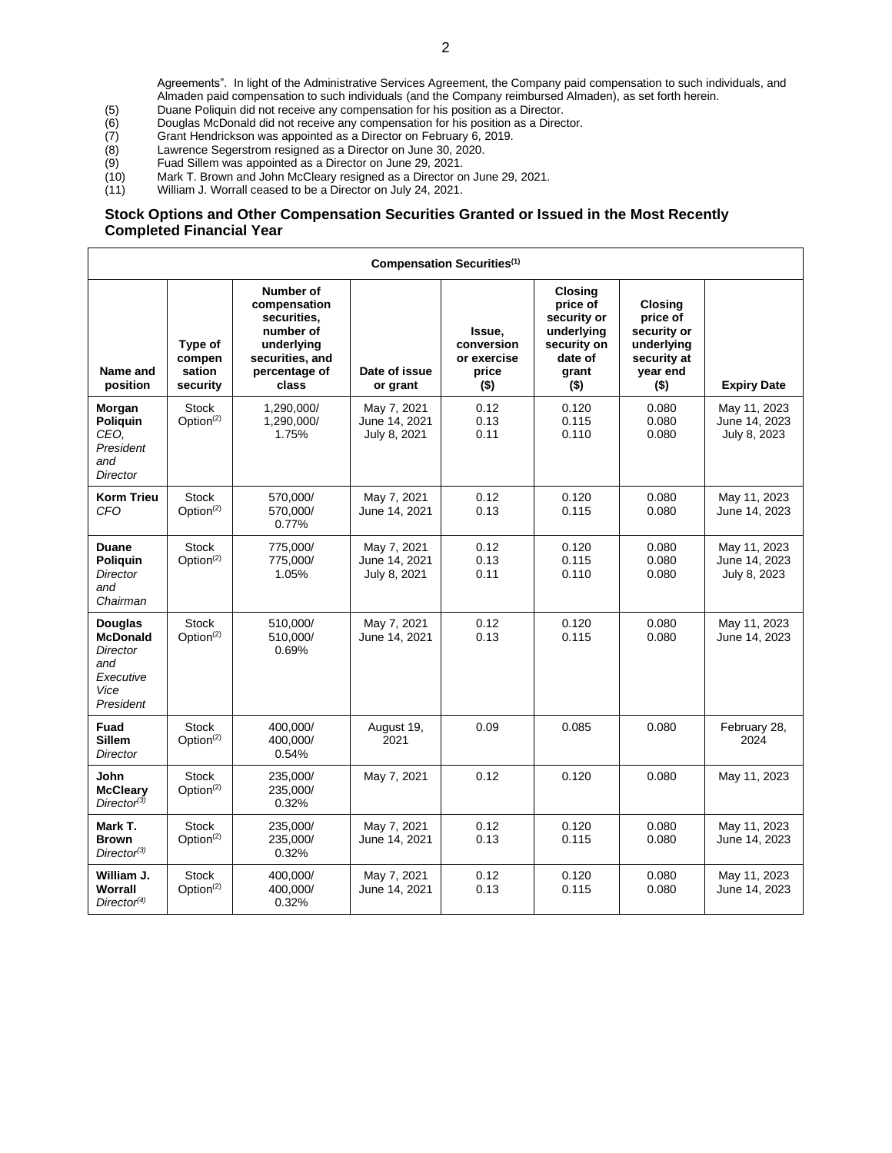Agreements". In light of the Administrative Services Agreement, the Company paid compensation to such individuals, and Almaden paid compensation to such individuals (and the Company reimbursed Almaden), as set forth herein.

- (5) Duane Poliquin did not receive any compensation for his position as a Director.<br>
(6) Douglas McDonald did not receive any compensation for his position as a Direc<br>
(7) Grant Hendrickson was appointed as a Director on F
- (6) Douglas McDonald did not receive any compensation for his position as a Director.
- (7) Grant Hendrickson was appointed as a Director on February 6, 2019. Lawrence Segerstrom resigned as a Director on June 30, 2020.
- 
- (9) Fuad Sillem was appointed as a Director on June 29, 2021.<br>
(10) Mark T. Brown and John McCleary resigned as a Director on (11) William J. Worrall ceased to be a Director on July 24, 2021. (10) Mark T. Brown and John McCleary resigned as a Director on June 29, 2021.
- (11) William J. Worrall ceased to be a Director on July 24, 2021.

### **Stock Options and Other Compensation Securities Granted or Issued in the Most Recently Completed Financial Year**

| Compensation Securities <sup>(1)</sup>                                                 |                                         |                                                                                                                  |                                              |                                                         |                                                                                                |                                                                                               |                                               |
|----------------------------------------------------------------------------------------|-----------------------------------------|------------------------------------------------------------------------------------------------------------------|----------------------------------------------|---------------------------------------------------------|------------------------------------------------------------------------------------------------|-----------------------------------------------------------------------------------------------|-----------------------------------------------|
| Name and<br>position                                                                   | Type of<br>compen<br>sation<br>security | Number of<br>compensation<br>securities.<br>number of<br>underlying<br>securities, and<br>percentage of<br>class | Date of issue<br>or grant                    | Issue,<br>conversion<br>or exercise<br>price<br>$($ \$) | Closing<br>price of<br>security or<br>underlying<br>security on<br>date of<br>grant<br>$($ \$) | <b>Closing</b><br>price of<br>security or<br>underlying<br>security at<br>year end<br>$($ \$) | <b>Expiry Date</b>                            |
| Morgan<br>Poliquin<br>CEO.<br>President<br>and<br>Director                             | <b>Stock</b><br>Option <sup>(2)</sup>   | 1.290.000/<br>1,290,000/<br>1.75%                                                                                | May 7, 2021<br>June 14, 2021<br>July 8, 2021 | 0.12<br>0.13<br>0.11                                    | 0.120<br>0.115<br>0.110                                                                        | 0.080<br>0.080<br>0.080                                                                       | May 11, 2023<br>June 14, 2023<br>July 8, 2023 |
| <b>Korm Trieu</b><br><b>CFO</b>                                                        | <b>Stock</b><br>Option <sup>(2)</sup>   | 570,000/<br>570,000/<br>0.77%                                                                                    | May 7, 2021<br>June 14, 2021                 | 0.12<br>0.13                                            | 0.120<br>0.115                                                                                 | 0.080<br>0.080                                                                                | May 11, 2023<br>June 14, 2023                 |
| <b>Duane</b><br><b>Poliguin</b><br>Director<br>and<br>Chairman                         | <b>Stock</b><br>Option <sup>(2)</sup>   | 775,000/<br>775,000/<br>1.05%                                                                                    | May 7, 2021<br>June 14, 2021<br>July 8, 2021 | 0.12<br>0.13<br>0.11                                    | 0.120<br>0.115<br>0.110                                                                        | 0.080<br>0.080<br>0.080                                                                       | May 11, 2023<br>June 14, 2023<br>July 8, 2023 |
| Douglas<br><b>McDonald</b><br><b>Director</b><br>and<br>Executive<br>Vice<br>President | <b>Stock</b><br>Option <sup>(2)</sup>   | 510,000/<br>510,000/<br>0.69%                                                                                    | May 7, 2021<br>June 14, 2021                 | 0.12<br>0.13                                            | 0.120<br>0.115                                                                                 | 0.080<br>0.080                                                                                | May 11, 2023<br>June 14, 2023                 |
| Fuad<br><b>Sillem</b><br><b>Director</b>                                               | <b>Stock</b><br>Option <sup>(2)</sup>   | 400,000/<br>400,000/<br>0.54%                                                                                    | August 19,<br>2021                           | 0.09                                                    | 0.085                                                                                          | 0.080                                                                                         | February 28,<br>2024                          |
| John<br><b>McCleary</b><br>Director <sup>(3)</sup>                                     | <b>Stock</b><br>Option <sup>(2)</sup>   | 235,000/<br>235,000/<br>0.32%                                                                                    | May 7, 2021                                  | 0.12                                                    | 0.120                                                                                          | 0.080                                                                                         | May 11, 2023                                  |
| Mark T.<br><b>Brown</b><br>Director <sup>(3)</sup>                                     | <b>Stock</b><br>Option <sup>(2)</sup>   | 235.000/<br>235,000/<br>0.32%                                                                                    | May 7, 2021<br>June 14, 2021                 | 0.12<br>0.13                                            | 0.120<br>0.115                                                                                 | 0.080<br>0.080                                                                                | May 11, 2023<br>June 14, 2023                 |
| William J.<br>Worrall<br>Director <sup>(4)</sup>                                       | <b>Stock</b><br>Option <sup>(2)</sup>   | 400,000/<br>400,000/<br>0.32%                                                                                    | May 7, 2021<br>June 14, 2021                 | 0.12<br>0.13                                            | 0.120<br>0.115                                                                                 | 0.080<br>0.080                                                                                | May 11, 2023<br>June 14, 2023                 |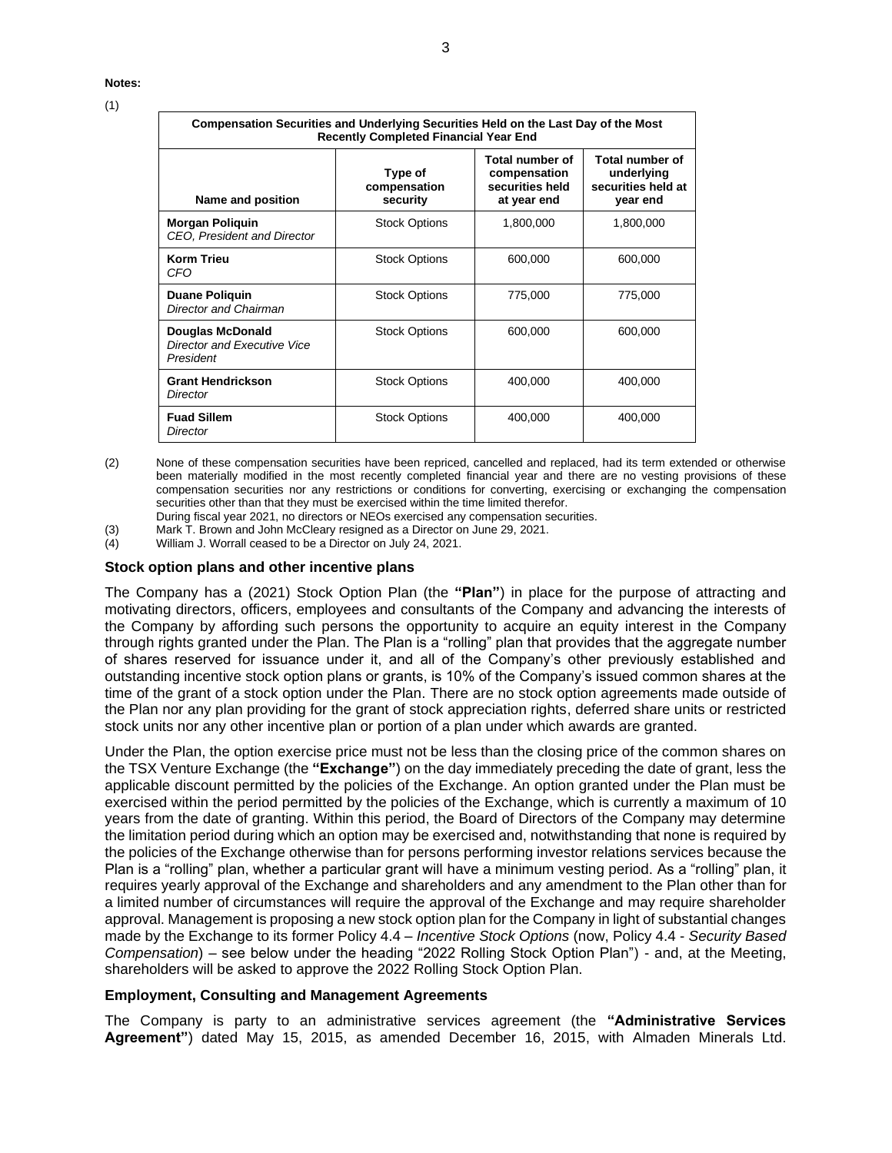#### **Notes:**

| I |  |
|---|--|
|   |  |

| Compensation Securities and Underlying Securities Held on the Last Day of the Most<br><b>Recently Completed Financial Year End</b> |                                                                                                                 |           |                                                                        |  |  |
|------------------------------------------------------------------------------------------------------------------------------------|-----------------------------------------------------------------------------------------------------------------|-----------|------------------------------------------------------------------------|--|--|
| Name and position                                                                                                                  | <b>Total number of</b><br>Type of<br>compensation<br>securities held<br>compensation<br>security<br>at year end |           | <b>Total number of</b><br>underlying<br>securities held at<br>year end |  |  |
| <b>Morgan Poliquin</b><br>CEO, President and Director                                                                              | <b>Stock Options</b>                                                                                            | 1,800,000 | 1,800,000                                                              |  |  |
| <b>Korm Trieu</b><br>CFO                                                                                                           | <b>Stock Options</b>                                                                                            | 600,000   | 600,000                                                                |  |  |
| <b>Duane Poliquin</b><br>Director and Chairman                                                                                     | <b>Stock Options</b>                                                                                            | 775,000   | 775,000                                                                |  |  |
| <b>Douglas McDonald</b><br>Director and Executive Vice<br>President                                                                | <b>Stock Options</b>                                                                                            | 600,000   | 600,000                                                                |  |  |
| <b>Grant Hendrickson</b><br><b>Director</b>                                                                                        | <b>Stock Options</b>                                                                                            | 400,000   | 400,000                                                                |  |  |
| <b>Fuad Sillem</b><br><b>Director</b>                                                                                              | <b>Stock Options</b>                                                                                            | 400,000   | 400,000                                                                |  |  |

(2) None of these compensation securities have been repriced, cancelled and replaced, had its term extended or otherwise been materially modified in the most recently completed financial year and there are no vesting provisions of these compensation securities nor any restrictions or conditions for converting, exercising or exchanging the compensation securities other than that they must be exercised within the time limited therefor.

During fiscal year 2021, no directors or NEOs exercised any compensation securities.

(3) Mark T. Brown and John McCleary resigned as a Director on June 29, 2021.<br>(4) William J. Worrall ceased to be a Director on July 24, 2021.

William J. Worrall ceased to be a Director on July 24, 2021.

#### **Stock option plans and other incentive plans**

The Company has a (2021) Stock Option Plan (the **"Plan"**) in place for the purpose of attracting and motivating directors, officers, employees and consultants of the Company and advancing the interests of the Company by affording such persons the opportunity to acquire an equity interest in the Company through rights granted under the Plan. The Plan is a "rolling" plan that provides that the aggregate number of shares reserved for issuance under it, and all of the Company's other previously established and outstanding incentive stock option plans or grants, is 10% of the Company's issued common shares at the time of the grant of a stock option under the Plan. There are no stock option agreements made outside of the Plan nor any plan providing for the grant of stock appreciation rights, deferred share units or restricted stock units nor any other incentive plan or portion of a plan under which awards are granted.

Under the Plan, the option exercise price must not be less than the closing price of the common shares on the TSX Venture Exchange (the **"Exchange"**) on the day immediately preceding the date of grant, less the applicable discount permitted by the policies of the Exchange. An option granted under the Plan must be exercised within the period permitted by the policies of the Exchange, which is currently a maximum of 10 years from the date of granting. Within this period, the Board of Directors of the Company may determine the limitation period during which an option may be exercised and, notwithstanding that none is required by the policies of the Exchange otherwise than for persons performing investor relations services because the Plan is a "rolling" plan, whether a particular grant will have a minimum vesting period. As a "rolling" plan, it requires yearly approval of the Exchange and shareholders and any amendment to the Plan other than for a limited number of circumstances will require the approval of the Exchange and may require shareholder approval. Management is proposing a new stock option plan for the Company in light of substantial changes made by the Exchange to its former Policy 4.4 – *Incentive Stock Options* (now, Policy 4.4 - *Security Based Compensation*) – see below under the heading "2022 Rolling Stock Option Plan") - and, at the Meeting, shareholders will be asked to approve the 2022 Rolling Stock Option Plan.

### **Employment, Consulting and Management Agreements**

The Company is party to an administrative services agreement (the **"Administrative Services Agreement"**) dated May 15, 2015, as amended December 16, 2015, with Almaden Minerals Ltd.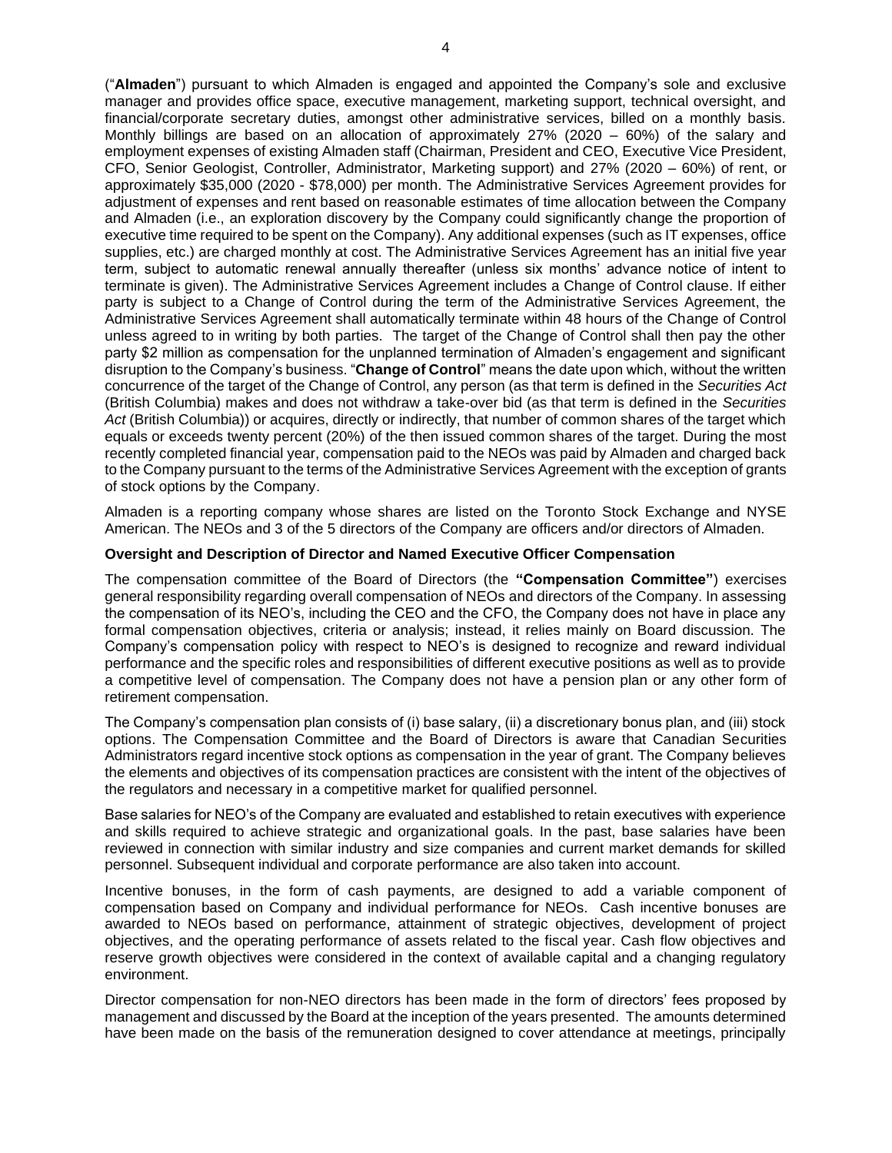("**Almaden**") pursuant to which Almaden is engaged and appointed the Company's sole and exclusive manager and provides office space, executive management, marketing support, technical oversight, and financial/corporate secretary duties, amongst other administrative services, billed on a monthly basis. Monthly billings are based on an allocation of approximately 27% (2020 – 60%) of the salary and employment expenses of existing Almaden staff (Chairman, President and CEO, Executive Vice President, CFO, Senior Geologist, Controller, Administrator, Marketing support) and 27% (2020 – 60%) of rent, or approximately \$35,000 (2020 - \$78,000) per month. The Administrative Services Agreement provides for adjustment of expenses and rent based on reasonable estimates of time allocation between the Company and Almaden (i.e., an exploration discovery by the Company could significantly change the proportion of executive time required to be spent on the Company). Any additional expenses (such as IT expenses, office supplies, etc.) are charged monthly at cost. The Administrative Services Agreement has an initial five year term, subject to automatic renewal annually thereafter (unless six months' advance notice of intent to terminate is given). The Administrative Services Agreement includes a Change of Control clause. If either party is subject to a Change of Control during the term of the Administrative Services Agreement, the Administrative Services Agreement shall automatically terminate within 48 hours of the Change of Control unless agreed to in writing by both parties. The target of the Change of Control shall then pay the other party \$2 million as compensation for the unplanned termination of Almaden's engagement and significant disruption to the Company's business. "**Change of Control**" means the date upon which, without the written concurrence of the target of the Change of Control, any person (as that term is defined in the *Securities Act* (British Columbia) makes and does not withdraw a take-over bid (as that term is defined in the *Securities*  Act (British Columbia)) or acquires, directly or indirectly, that number of common shares of the target which equals or exceeds twenty percent (20%) of the then issued common shares of the target. During the most recently completed financial year, compensation paid to the NEOs was paid by Almaden and charged back to the Company pursuant to the terms of the Administrative Services Agreement with the exception of grants of stock options by the Company.

Almaden is a reporting company whose shares are listed on the Toronto Stock Exchange and NYSE American. The NEOs and 3 of the 5 directors of the Company are officers and/or directors of Almaden.

#### **Oversight and Description of Director and Named Executive Officer Compensation**

The compensation committee of the Board of Directors (the **"Compensation Committee"**) exercises general responsibility regarding overall compensation of NEOs and directors of the Company. In assessing the compensation of its NEO's, including the CEO and the CFO, the Company does not have in place any formal compensation objectives, criteria or analysis; instead, it relies mainly on Board discussion. The Company's compensation policy with respect to NEO's is designed to recognize and reward individual performance and the specific roles and responsibilities of different executive positions as well as to provide a competitive level of compensation. The Company does not have a pension plan or any other form of retirement compensation.

The Company's compensation plan consists of (i) base salary, (ii) a discretionary bonus plan, and (iii) stock options. The Compensation Committee and the Board of Directors is aware that Canadian Securities Administrators regard incentive stock options as compensation in the year of grant. The Company believes the elements and objectives of its compensation practices are consistent with the intent of the objectives of the regulators and necessary in a competitive market for qualified personnel.

Base salaries for NEO's of the Company are evaluated and established to retain executives with experience and skills required to achieve strategic and organizational goals. In the past, base salaries have been reviewed in connection with similar industry and size companies and current market demands for skilled personnel. Subsequent individual and corporate performance are also taken into account.

Incentive bonuses, in the form of cash payments, are designed to add a variable component of compensation based on Company and individual performance for NEOs. Cash incentive bonuses are awarded to NEOs based on performance, attainment of strategic objectives, development of project objectives, and the operating performance of assets related to the fiscal year. Cash flow objectives and reserve growth objectives were considered in the context of available capital and a changing regulatory environment.

Director compensation for non-NEO directors has been made in the form of directors' fees proposed by management and discussed by the Board at the inception of the years presented. The amounts determined have been made on the basis of the remuneration designed to cover attendance at meetings, principally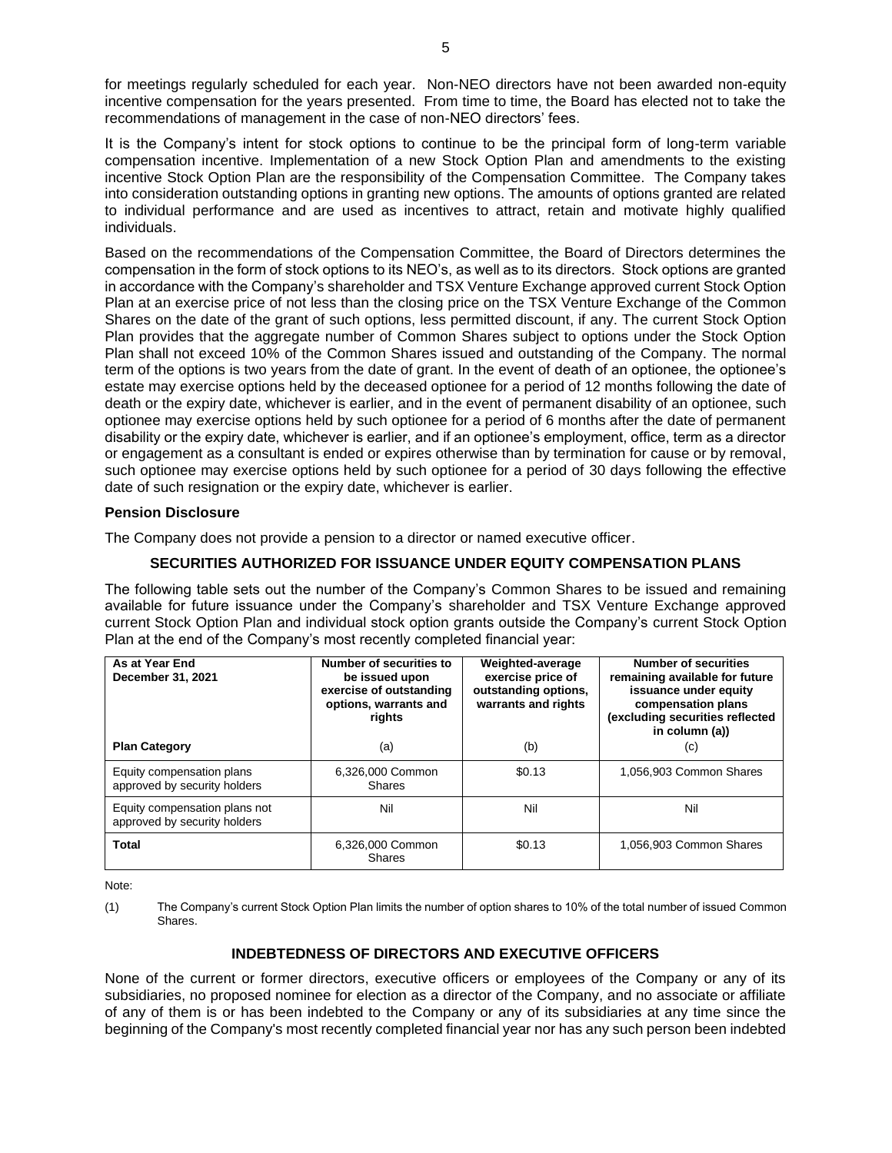for meetings regularly scheduled for each year. Non-NEO directors have not been awarded non-equity incentive compensation for the years presented. From time to time, the Board has elected not to take the recommendations of management in the case of non-NEO directors' fees.

It is the Company's intent for stock options to continue to be the principal form of long-term variable compensation incentive. Implementation of a new Stock Option Plan and amendments to the existing incentive Stock Option Plan are the responsibility of the Compensation Committee. The Company takes into consideration outstanding options in granting new options. The amounts of options granted are related to individual performance and are used as incentives to attract, retain and motivate highly qualified individuals.

Based on the recommendations of the Compensation Committee, the Board of Directors determines the compensation in the form of stock options to its NEO's, as well as to its directors. Stock options are granted in accordance with the Company's shareholder and TSX Venture Exchange approved current Stock Option Plan at an exercise price of not less than the closing price on the TSX Venture Exchange of the Common Shares on the date of the grant of such options, less permitted discount, if any. The current Stock Option Plan provides that the aggregate number of Common Shares subject to options under the Stock Option Plan shall not exceed 10% of the Common Shares issued and outstanding of the Company. The normal term of the options is two years from the date of grant. In the event of death of an optionee, the optionee's estate may exercise options held by the deceased optionee for a period of 12 months following the date of death or the expiry date, whichever is earlier, and in the event of permanent disability of an optionee, such optionee may exercise options held by such optionee for a period of 6 months after the date of permanent disability or the expiry date, whichever is earlier, and if an optionee's employment, office, term as a director or engagement as a consultant is ended or expires otherwise than by termination for cause or by removal, such optionee may exercise options held by such optionee for a period of 30 days following the effective date of such resignation or the expiry date, whichever is earlier.

### **Pension Disclosure**

The Company does not provide a pension to a director or named executive officer.

## **SECURITIES AUTHORIZED FOR ISSUANCE UNDER EQUITY COMPENSATION PLANS**

The following table sets out the number of the Company's Common Shares to be issued and remaining available for future issuance under the Company's shareholder and TSX Venture Exchange approved current Stock Option Plan and individual stock option grants outside the Company's current Stock Option Plan at the end of the Company's most recently completed financial year:

| As at Year End<br>December 31, 2021                           | Number of securities to<br>be issued upon<br>exercise of outstanding<br>options, warrants and<br>rights | Weighted-average<br>exercise price of<br>outstanding options,<br>warrants and rights | <b>Number of securities</b><br>remaining available for future<br>issuance under equity<br>compensation plans<br>(excluding securities reflected<br>in column (a)) |  |
|---------------------------------------------------------------|---------------------------------------------------------------------------------------------------------|--------------------------------------------------------------------------------------|-------------------------------------------------------------------------------------------------------------------------------------------------------------------|--|
| <b>Plan Category</b>                                          | (a)                                                                                                     | (b)                                                                                  | (c)                                                                                                                                                               |  |
| Equity compensation plans<br>approved by security holders     | 6,326,000 Common<br>Shares                                                                              | \$0.13                                                                               | 1,056,903 Common Shares                                                                                                                                           |  |
| Equity compensation plans not<br>approved by security holders | Nil                                                                                                     | Nil                                                                                  | Nil                                                                                                                                                               |  |
| Total                                                         | 6,326,000 Common<br><b>Shares</b>                                                                       | \$0.13                                                                               | 1,056,903 Common Shares                                                                                                                                           |  |

Note:

(1) The Company's current Stock Option Plan limits the number of option shares to 10% of the total number of issued Common Shares.

# **INDEBTEDNESS OF DIRECTORS AND EXECUTIVE OFFICERS**

None of the current or former directors, executive officers or employees of the Company or any of its subsidiaries, no proposed nominee for election as a director of the Company, and no associate or affiliate of any of them is or has been indebted to the Company or any of its subsidiaries at any time since the beginning of the Company's most recently completed financial year nor has any such person been indebted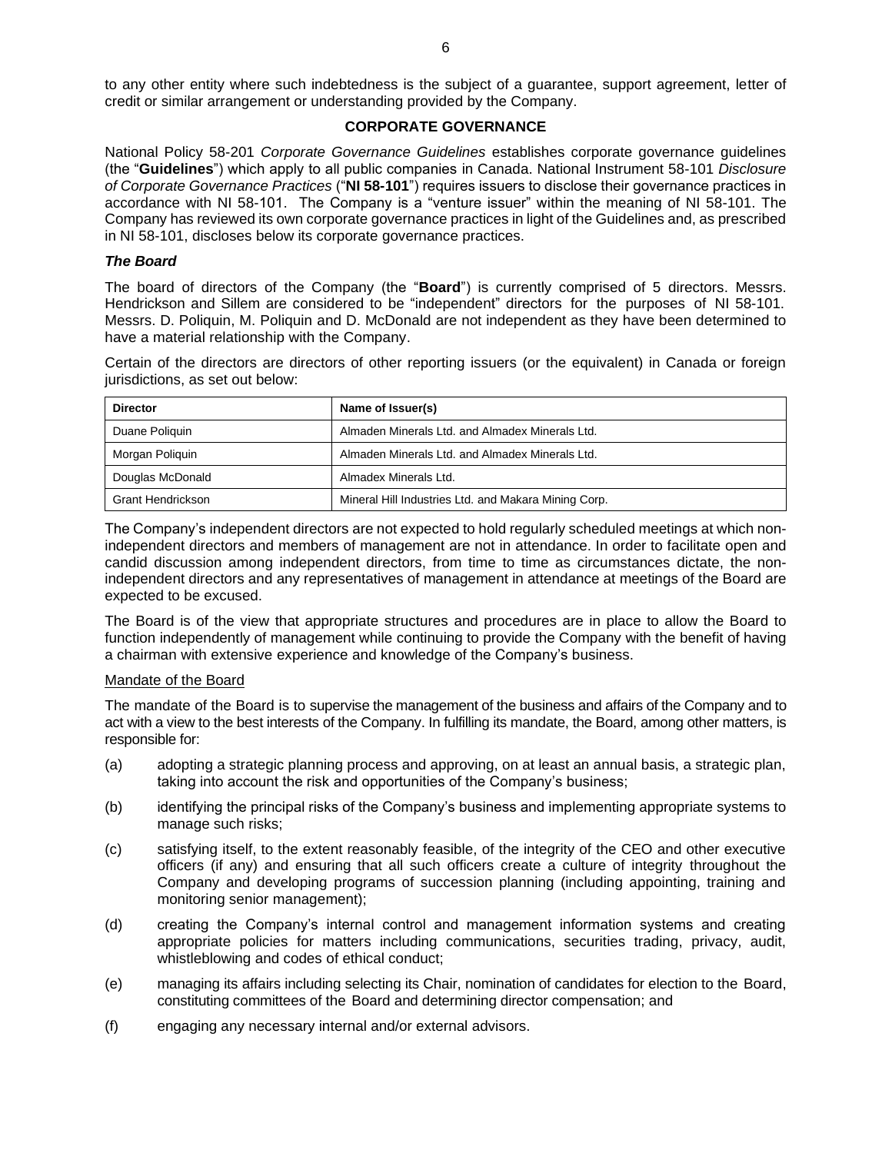to any other entity where such indebtedness is the subject of a guarantee, support agreement, letter of credit or similar arrangement or understanding provided by the Company.

## **CORPORATE GOVERNANCE**

National Policy 58-201 *Corporate Governance Guidelines* establishes corporate governance guidelines (the "**Guidelines**") which apply to all public companies in Canada. National Instrument 58-101 *Disclosure of Corporate Governance Practices* ("**NI 58-101**") requires issuers to disclose their governance practices in accordance with NI 58-101. The Company is a "venture issuer" within the meaning of NI 58-101. The Company has reviewed its own corporate governance practices in light of the Guidelines and, as prescribed in NI 58-101, discloses below its corporate governance practices.

### *The Board*

The board of directors of the Company (the "**Board**") is currently comprised of 5 directors. Messrs. Hendrickson and Sillem are considered to be "independent" directors for the purposes of NI 58-101. Messrs. D. Poliquin, M. Poliquin and D. McDonald are not independent as they have been determined to have a material relationship with the Company.

Certain of the directors are directors of other reporting issuers (or the equivalent) in Canada or foreign jurisdictions, as set out below:

| <b>Director</b>          | Name of Issuer(s)                                    |
|--------------------------|------------------------------------------------------|
| Duane Poliquin           | Almaden Minerals Ltd. and Almadex Minerals Ltd.      |
| Morgan Poliquin          | Almaden Minerals Ltd. and Almadex Minerals Ltd.      |
| Douglas McDonald         | Almadex Minerals Ltd.                                |
| <b>Grant Hendrickson</b> | Mineral Hill Industries Ltd. and Makara Mining Corp. |

The Company's independent directors are not expected to hold regularly scheduled meetings at which nonindependent directors and members of management are not in attendance. In order to facilitate open and candid discussion among independent directors, from time to time as circumstances dictate, the nonindependent directors and any representatives of management in attendance at meetings of the Board are expected to be excused.

The Board is of the view that appropriate structures and procedures are in place to allow the Board to function independently of management while continuing to provide the Company with the benefit of having a chairman with extensive experience and knowledge of the Company's business.

#### Mandate of the Board

The mandate of the Board is to supervise the management of the business and affairs of the Company and to act with a view to the best interests of the Company. In fulfilling its mandate, the Board, among other matters, is responsible for:

- (a) adopting a strategic planning process and approving, on at least an annual basis, a strategic plan, taking into account the risk and opportunities of the Company's business;
- (b) identifying the principal risks of the Company's business and implementing appropriate systems to manage such risks;
- (c) satisfying itself, to the extent reasonably feasible, of the integrity of the CEO and other executive officers (if any) and ensuring that all such officers create a culture of integrity throughout the Company and developing programs of succession planning (including appointing, training and monitoring senior management);
- (d) creating the Company's internal control and management information systems and creating appropriate policies for matters including communications, securities trading, privacy, audit, whistleblowing and codes of ethical conduct;
- (e) managing its affairs including selecting its Chair, nomination of candidates for election to the Board, constituting committees of the Board and determining director compensation; and
- (f) engaging any necessary internal and/or external advisors.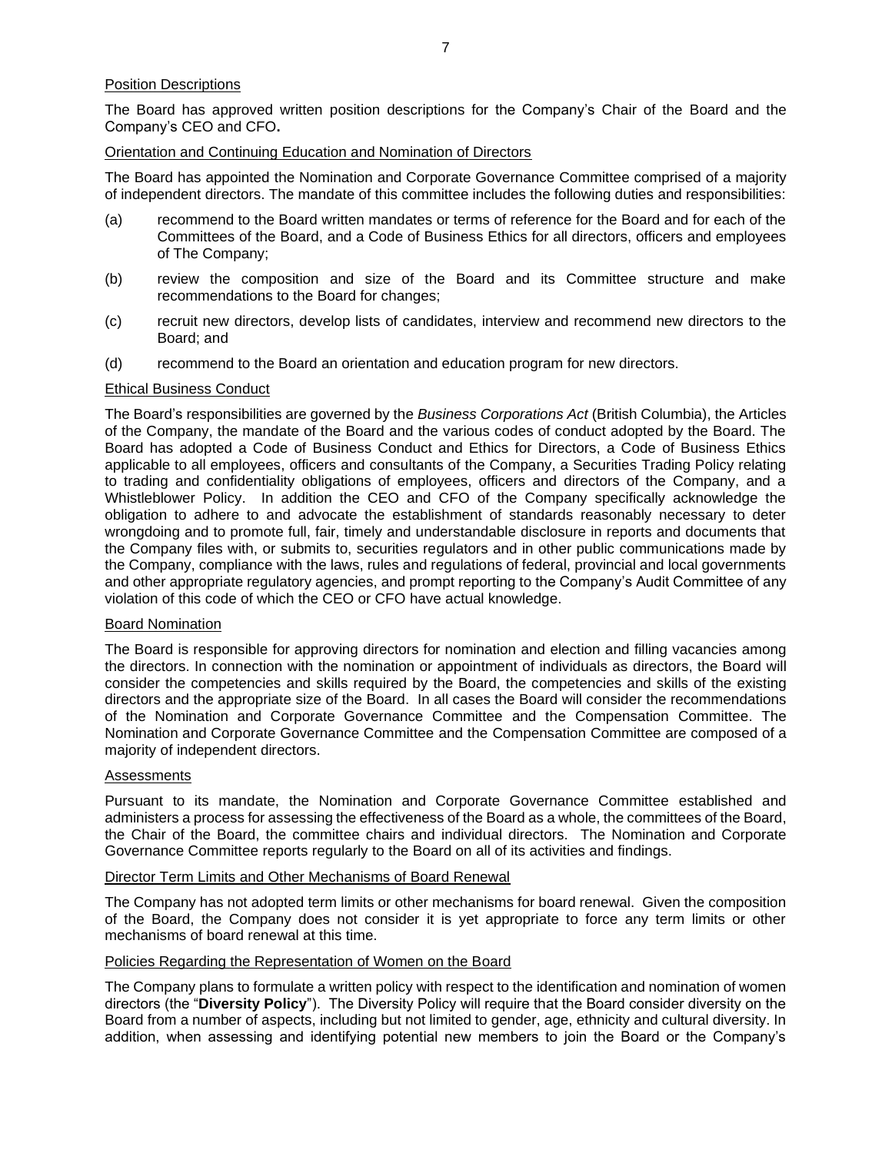## Position Descriptions

The Board has approved written position descriptions for the Company's Chair of the Board and the Company's CEO and CFO**.**

### Orientation and Continuing Education and Nomination of Directors

The Board has appointed the Nomination and Corporate Governance Committee comprised of a majority of independent directors. The mandate of this committee includes the following duties and responsibilities:

- (a) recommend to the Board written mandates or terms of reference for the Board and for each of the Committees of the Board, and a Code of Business Ethics for all directors, officers and employees of The Company;
- (b) review the composition and size of the Board and its Committee structure and make recommendations to the Board for changes;
- (c) recruit new directors, develop lists of candidates, interview and recommend new directors to the Board; and
- (d) recommend to the Board an orientation and education program for new directors.

### Ethical Business Conduct

The Board's responsibilities are governed by the *Business Corporations Act* (British Columbia), the Articles of the Company, the mandate of the Board and the various codes of conduct adopted by the Board. The Board has adopted a Code of Business Conduct and Ethics for Directors, a Code of Business Ethics applicable to all employees, officers and consultants of the Company, a Securities Trading Policy relating to trading and confidentiality obligations of employees, officers and directors of the Company, and a Whistleblower Policy. In addition the CEO and CFO of the Company specifically acknowledge the obligation to adhere to and advocate the establishment of standards reasonably necessary to deter wrongdoing and to promote full, fair, timely and understandable disclosure in reports and documents that the Company files with, or submits to, securities regulators and in other public communications made by the Company, compliance with the laws, rules and regulations of federal, provincial and local governments and other appropriate regulatory agencies, and prompt reporting to the Company's Audit Committee of any violation of this code of which the CEO or CFO have actual knowledge.

### Board Nomination

The Board is responsible for approving directors for nomination and election and filling vacancies among the directors. In connection with the nomination or appointment of individuals as directors, the Board will consider the competencies and skills required by the Board, the competencies and skills of the existing directors and the appropriate size of the Board. In all cases the Board will consider the recommendations of the Nomination and Corporate Governance Committee and the Compensation Committee. The Nomination and Corporate Governance Committee and the Compensation Committee are composed of a majority of independent directors.

#### **Assessments**

Pursuant to its mandate, the Nomination and Corporate Governance Committee established and administers a process for assessing the effectiveness of the Board as a whole, the committees of the Board, the Chair of the Board, the committee chairs and individual directors. The Nomination and Corporate Governance Committee reports regularly to the Board on all of its activities and findings.

### Director Term Limits and Other Mechanisms of Board Renewal

The Company has not adopted term limits or other mechanisms for board renewal. Given the composition of the Board, the Company does not consider it is yet appropriate to force any term limits or other mechanisms of board renewal at this time.

### Policies Regarding the Representation of Women on the Board

The Company plans to formulate a written policy with respect to the identification and nomination of women directors (the "**Diversity Policy**"). The Diversity Policy will require that the Board consider diversity on the Board from a number of aspects, including but not limited to gender, age, ethnicity and cultural diversity. In addition, when assessing and identifying potential new members to join the Board or the Company's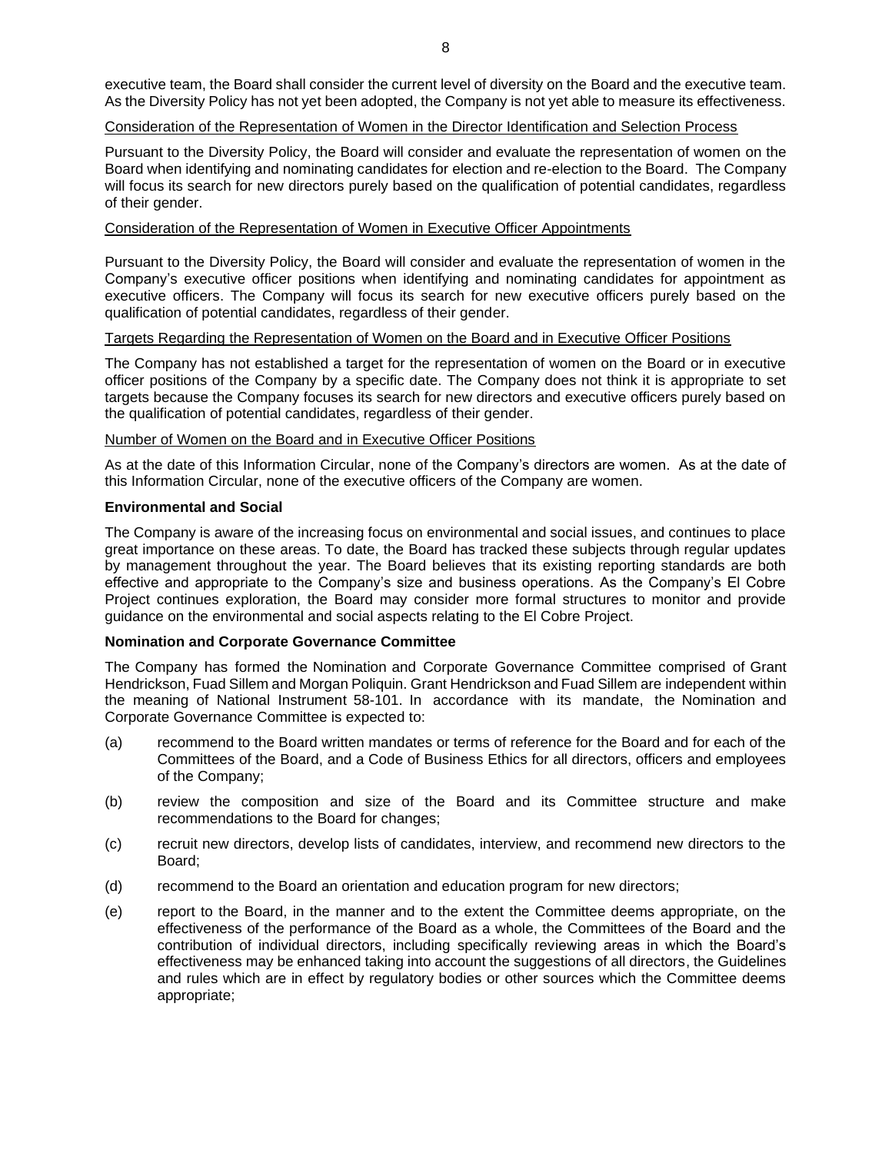executive team, the Board shall consider the current level of diversity on the Board and the executive team. As the Diversity Policy has not yet been adopted, the Company is not yet able to measure its effectiveness.

### Consideration of the Representation of Women in the Director Identification and Selection Process

Pursuant to the Diversity Policy, the Board will consider and evaluate the representation of women on the Board when identifying and nominating candidates for election and re-election to the Board. The Company will focus its search for new directors purely based on the qualification of potential candidates, regardless of their gender.

### Consideration of the Representation of Women in Executive Officer Appointments

Pursuant to the Diversity Policy, the Board will consider and evaluate the representation of women in the Company's executive officer positions when identifying and nominating candidates for appointment as executive officers. The Company will focus its search for new executive officers purely based on the qualification of potential candidates, regardless of their gender.

### Targets Regarding the Representation of Women on the Board and in Executive Officer Positions

The Company has not established a target for the representation of women on the Board or in executive officer positions of the Company by a specific date. The Company does not think it is appropriate to set targets because the Company focuses its search for new directors and executive officers purely based on the qualification of potential candidates, regardless of their gender.

#### Number of Women on the Board and in Executive Officer Positions

As at the date of this Information Circular, none of the Company's directors are women. As at the date of this Information Circular, none of the executive officers of the Company are women.

### **Environmental and Social**

The Company is aware of the increasing focus on environmental and social issues, and continues to place great importance on these areas. To date, the Board has tracked these subjects through regular updates by management throughout the year. The Board believes that its existing reporting standards are both effective and appropriate to the Company's size and business operations. As the Company's El Cobre Project continues exploration, the Board may consider more formal structures to monitor and provide guidance on the environmental and social aspects relating to the El Cobre Project.

### **Nomination and Corporate Governance Committee**

The Company has formed the Nomination and Corporate Governance Committee comprised of Grant Hendrickson, Fuad Sillem and Morgan Poliquin. Grant Hendrickson and Fuad Sillem are independent within the meaning of National Instrument 58-101. In accordance with its mandate, the Nomination and Corporate Governance Committee is expected to:

- (a) recommend to the Board written mandates or terms of reference for the Board and for each of the Committees of the Board, and a Code of Business Ethics for all directors, officers and employees of the Company;
- (b) review the composition and size of the Board and its Committee structure and make recommendations to the Board for changes;
- (c) recruit new directors, develop lists of candidates, interview, and recommend new directors to the Board;
- (d) recommend to the Board an orientation and education program for new directors;
- (e) report to the Board, in the manner and to the extent the Committee deems appropriate, on the effectiveness of the performance of the Board as a whole, the Committees of the Board and the contribution of individual directors, including specifically reviewing areas in which the Board's effectiveness may be enhanced taking into account the suggestions of all directors, the Guidelines and rules which are in effect by regulatory bodies or other sources which the Committee deems appropriate;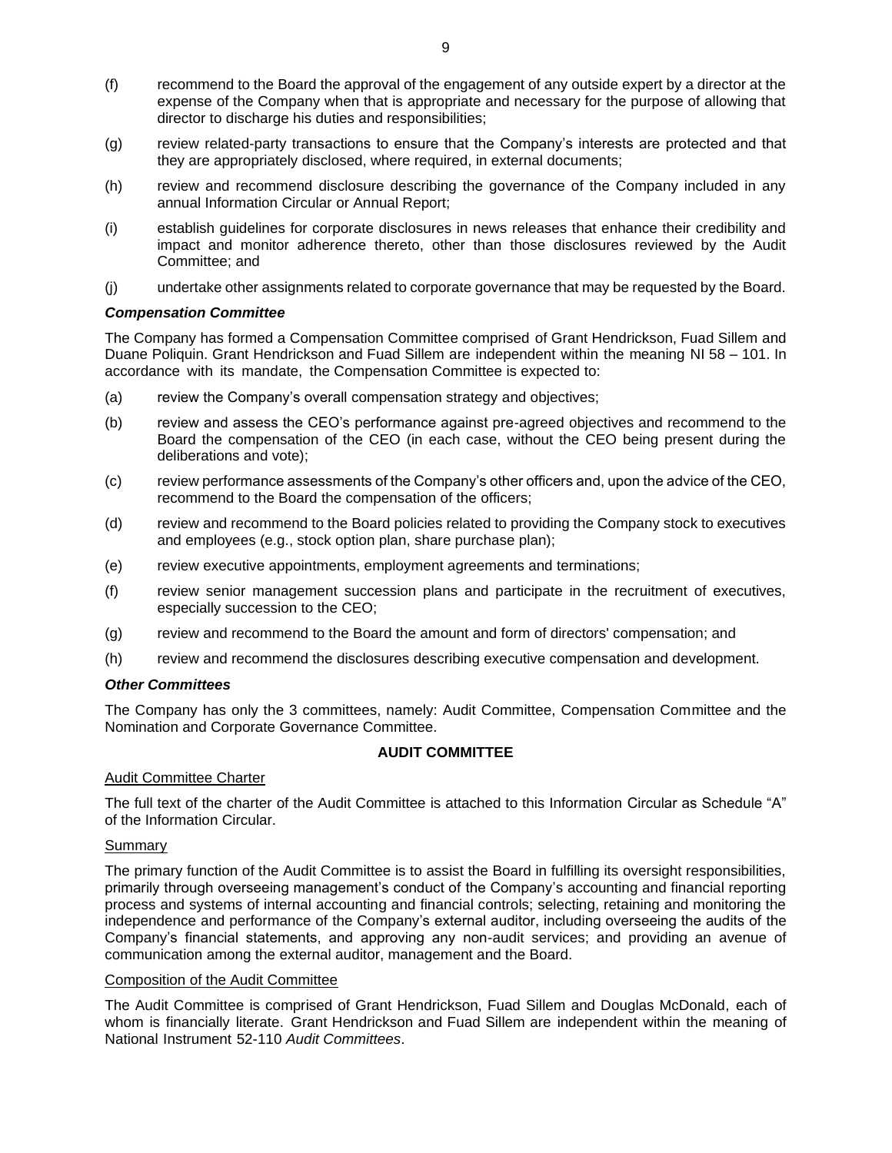- (f) recommend to the Board the approval of the engagement of any outside expert by a director at the expense of the Company when that is appropriate and necessary for the purpose of allowing that director to discharge his duties and responsibilities;
- (g) review related-party transactions to ensure that the Company's interests are protected and that they are appropriately disclosed, where required, in external documents;
- (h) review and recommend disclosure describing the governance of the Company included in any annual Information Circular or Annual Report;
- (i) establish guidelines for corporate disclosures in news releases that enhance their credibility and impact and monitor adherence thereto, other than those disclosures reviewed by the Audit Committee; and
- (j) undertake other assignments related to corporate governance that may be requested by the Board.

### *Compensation Committee*

The Company has formed a Compensation Committee comprised of Grant Hendrickson, Fuad Sillem and Duane Poliquin. Grant Hendrickson and Fuad Sillem are independent within the meaning NI 58 – 101. In accordance with its mandate, the Compensation Committee is expected to:

- (a) review the Company's overall compensation strategy and objectives;
- (b) review and assess the CEO's performance against pre-agreed objectives and recommend to the Board the compensation of the CEO (in each case, without the CEO being present during the deliberations and vote);
- (c) review performance assessments of the Company's other officers and, upon the advice of the CEO, recommend to the Board the compensation of the officers;
- (d) review and recommend to the Board policies related to providing the Company stock to executives and employees (e.g., stock option plan, share purchase plan);
- (e) review executive appointments, employment agreements and terminations;
- (f) review senior management succession plans and participate in the recruitment of executives, especially succession to the CEO;
- (g) review and recommend to the Board the amount and form of directors' compensation; and
- (h) review and recommend the disclosures describing executive compensation and development.

### *Other Committees*

The Company has only the 3 committees, namely: Audit Committee, Compensation Committee and the Nomination and Corporate Governance Committee.

### **AUDIT COMMITTEE**

#### Audit Committee Charter

The full text of the charter of the Audit Committee is attached to this Information Circular as Schedule "A" of the Information Circular.

#### Summary

The primary function of the Audit Committee is to assist the Board in fulfilling its oversight responsibilities, primarily through overseeing management's conduct of the Company's accounting and financial reporting process and systems of internal accounting and financial controls; selecting, retaining and monitoring the independence and performance of the Company's external auditor, including overseeing the audits of the Company's financial statements, and approving any non-audit services; and providing an avenue of communication among the external auditor, management and the Board.

#### Composition of the Audit Committee

The Audit Committee is comprised of Grant Hendrickson, Fuad Sillem and Douglas McDonald, each of whom is financially literate. Grant Hendrickson and Fuad Sillem are independent within the meaning of National Instrument 52-110 *Audit Committees*.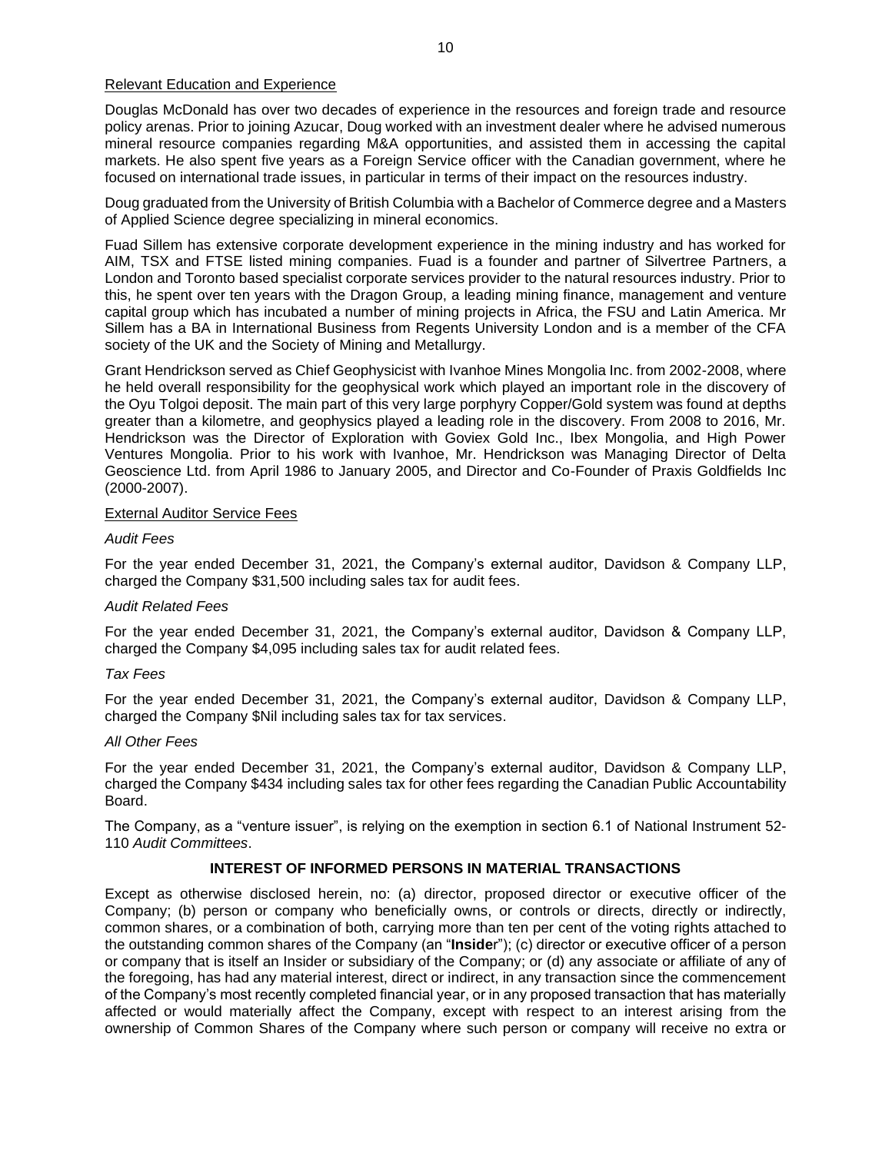### Relevant Education and Experience

Douglas McDonald has over two decades of experience in the resources and foreign trade and resource policy arenas. Prior to joining Azucar, Doug worked with an investment dealer where he advised numerous mineral resource companies regarding M&A opportunities, and assisted them in accessing the capital markets. He also spent five years as a Foreign Service officer with the Canadian government, where he focused on international trade issues, in particular in terms of their impact on the resources industry.

Doug graduated from the University of British Columbia with a Bachelor of Commerce degree and a Masters of Applied Science degree specializing in mineral economics.

Fuad Sillem has extensive corporate development experience in the mining industry and has worked for AIM, TSX and FTSE listed mining companies. Fuad is a founder and partner of Silvertree Partners, a London and Toronto based specialist corporate services provider to the natural resources industry. Prior to this, he spent over ten years with the Dragon Group, a leading mining finance, management and venture capital group which has incubated a number of mining projects in Africa, the FSU and Latin America. Mr Sillem has a BA in International Business from Regents University London and is a member of the CFA society of the UK and the Society of Mining and Metallurgy.

Grant Hendrickson served as Chief Geophysicist with Ivanhoe Mines Mongolia Inc. from 2002-2008, where he held overall responsibility for the geophysical work which played an important role in the discovery of the Oyu Tolgoi deposit. The main part of this very large porphyry Copper/Gold system was found at depths greater than a kilometre, and geophysics played a leading role in the discovery. From 2008 to 2016, Mr. Hendrickson was the Director of Exploration with Goviex Gold Inc., Ibex Mongolia, and High Power Ventures Mongolia. Prior to his work with Ivanhoe, Mr. Hendrickson was Managing Director of Delta Geoscience Ltd. from April 1986 to January 2005, and Director and Co-Founder of Praxis Goldfields Inc (2000-2007).

#### External Auditor Service Fees

#### *Audit Fees*

For the year ended December 31, 2021, the Company's external auditor, Davidson & Company LLP, charged the Company \$31,500 including sales tax for audit fees.

#### *Audit Related Fees*

For the year ended December 31, 2021, the Company's external auditor, Davidson & Company LLP, charged the Company \$4,095 including sales tax for audit related fees.

### *Tax Fees*

For the year ended December 31, 2021, the Company's external auditor, Davidson & Company LLP, charged the Company \$Nil including sales tax for tax services.

#### *All Other Fees*

For the year ended December 31, 2021, the Company's external auditor, Davidson & Company LLP, charged the Company \$434 including sales tax for other fees regarding the Canadian Public Accountability Board.

The Company, as a "venture issuer", is relying on the exemption in section 6.1 of National Instrument 52- 110 *Audit Committees*.

### **INTEREST OF INFORMED PERSONS IN MATERIAL TRANSACTIONS**

Except as otherwise disclosed herein, no: (a) director, proposed director or executive officer of the Company; (b) person or company who beneficially owns, or controls or directs, directly or indirectly, common shares, or a combination of both, carrying more than ten per cent of the voting rights attached to the outstanding common shares of the Company (an "**Inside**r"); (c) director or executive officer of a person or company that is itself an Insider or subsidiary of the Company; or (d) any associate or affiliate of any of the foregoing, has had any material interest, direct or indirect, in any transaction since the commencement of the Company's most recently completed financial year, or in any proposed transaction that has materially affected or would materially affect the Company, except with respect to an interest arising from the ownership of Common Shares of the Company where such person or company will receive no extra or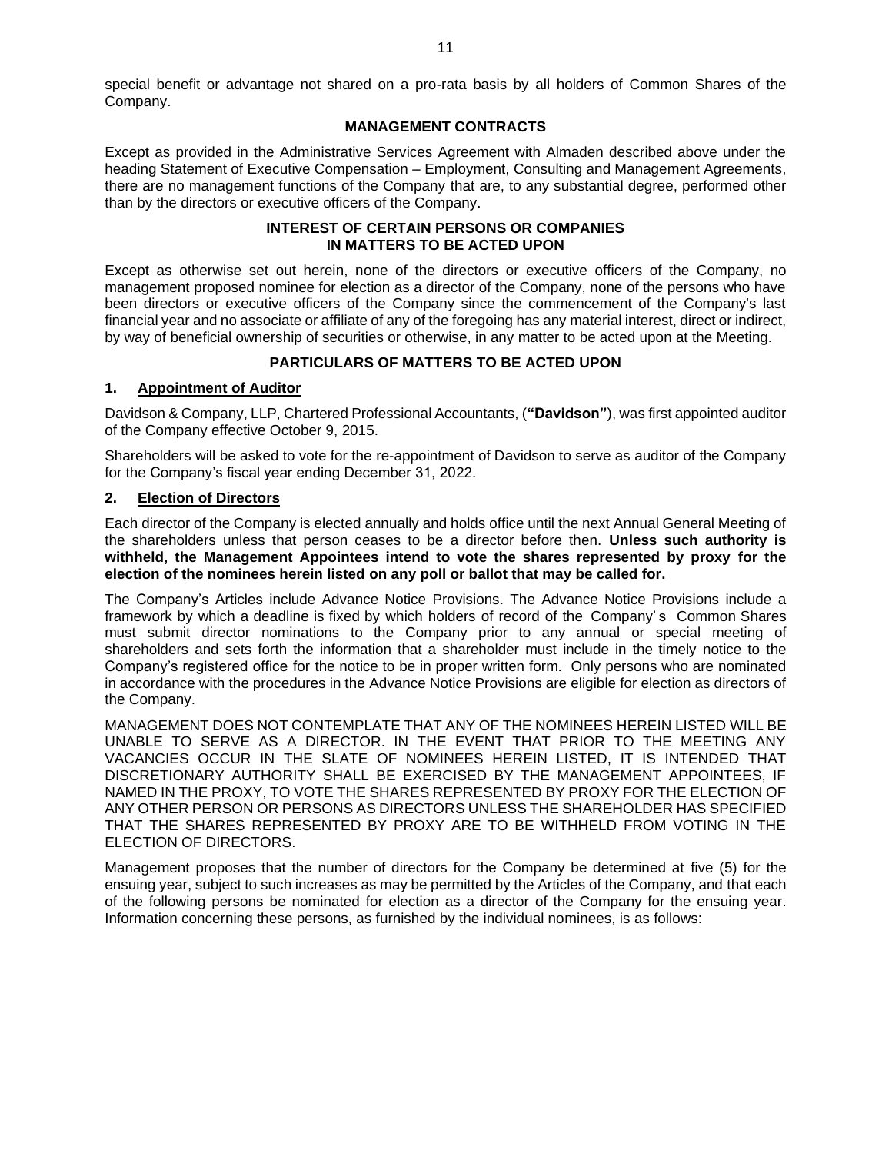special benefit or advantage not shared on a pro-rata basis by all holders of Common Shares of the Company.

### **MANAGEMENT CONTRACTS**

Except as provided in the Administrative Services Agreement with Almaden described above under the heading Statement of Executive Compensation – Employment, Consulting and Management Agreements, there are no management functions of the Company that are, to any substantial degree, performed other than by the directors or executive officers of the Company.

## **INTEREST OF CERTAIN PERSONS OR COMPANIES IN MATTERS TO BE ACTED UPON**

Except as otherwise set out herein, none of the directors or executive officers of the Company, no management proposed nominee for election as a director of the Company, none of the persons who have been directors or executive officers of the Company since the commencement of the Company's last financial year and no associate or affiliate of any of the foregoing has any material interest, direct or indirect, by way of beneficial ownership of securities or otherwise, in any matter to be acted upon at the Meeting.

# **PARTICULARS OF MATTERS TO BE ACTED UPON**

## **1. Appointment of Auditor**

Davidson & Company, LLP, Chartered Professional Accountants, (**"Davidson"**), was first appointed auditor of the Company effective October 9, 2015.

Shareholders will be asked to vote for the re-appointment of Davidson to serve as auditor of the Company for the Company's fiscal year ending December 31, 2022.

### **2. Election of Directors**

Each director of the Company is elected annually and holds office until the next Annual General Meeting of the shareholders unless that person ceases to be a director before then. **Unless such authority is withheld, the Management Appointees intend to vote the shares represented by proxy for the election of the nominees herein listed on any poll or ballot that may be called for.**

The Company's Articles include Advance Notice Provisions. The Advance Notice Provisions include a framework by which a deadline is fixed by which holders of record of the Company' s Common Shares must submit director nominations to the Company prior to any annual or special meeting of shareholders and sets forth the information that a shareholder must include in the timely notice to the Company's registered office for the notice to be in proper written form. Only persons who are nominated in accordance with the procedures in the Advance Notice Provisions are eligible for election as directors of the Company.

MANAGEMENT DOES NOT CONTEMPLATE THAT ANY OF THE NOMINEES HEREIN LISTED WILL BE UNABLE TO SERVE AS A DIRECTOR. IN THE EVENT THAT PRIOR TO THE MEETING ANY VACANCIES OCCUR IN THE SLATE OF NOMINEES HEREIN LISTED, IT IS INTENDED THAT DISCRETIONARY AUTHORITY SHALL BE EXERCISED BY THE MANAGEMENT APPOINTEES, IF NAMED IN THE PROXY, TO VOTE THE SHARES REPRESENTED BY PROXY FOR THE ELECTION OF ANY OTHER PERSON OR PERSONS AS DIRECTORS UNLESS THE SHAREHOLDER HAS SPECIFIED THAT THE SHARES REPRESENTED BY PROXY ARE TO BE WITHHELD FROM VOTING IN THE ELECTION OF DIRECTORS.

Management proposes that the number of directors for the Company be determined at five (5) for the ensuing year, subject to such increases as may be permitted by the Articles of the Company, and that each of the following persons be nominated for election as a director of the Company for the ensuing year. Information concerning these persons, as furnished by the individual nominees, is as follows: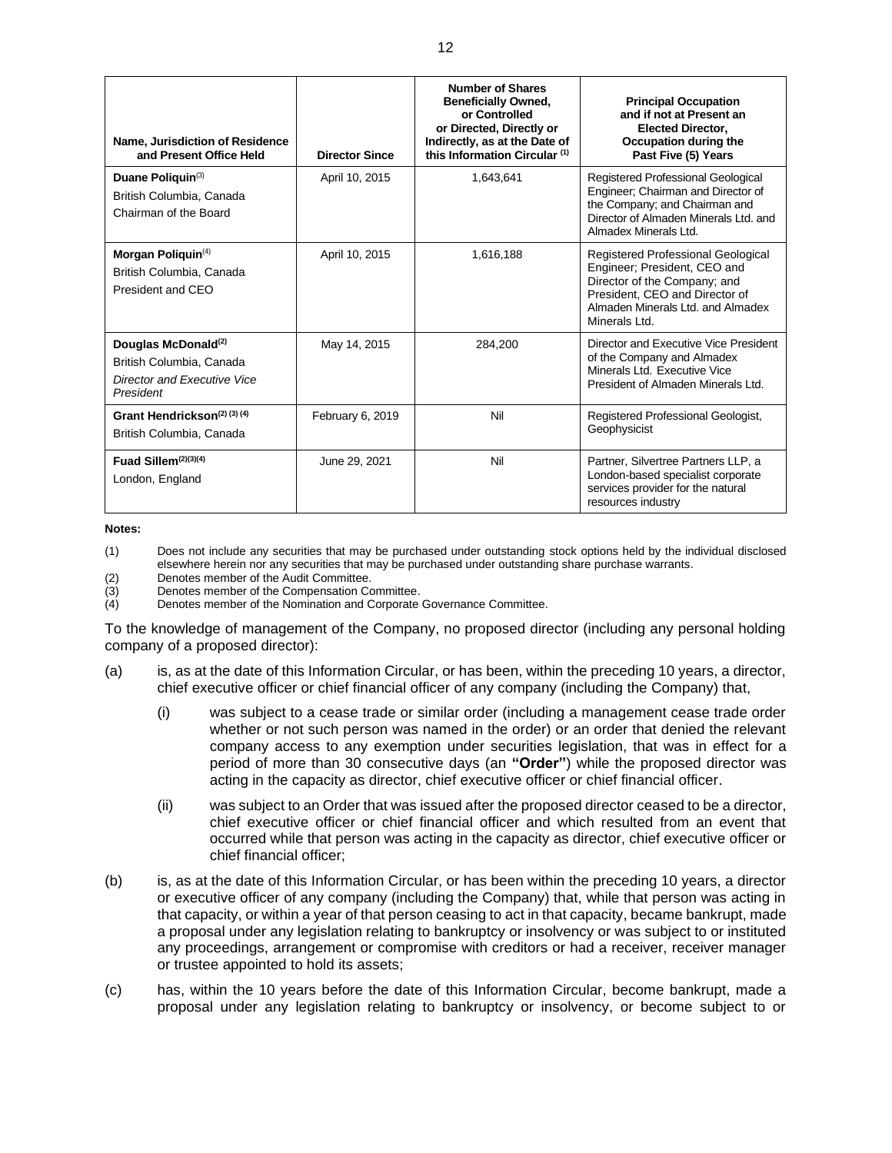| Name, Jurisdiction of Residence<br>and Present Office Held                                                     | <b>Director Since</b> | <b>Number of Shares</b><br><b>Beneficially Owned,</b><br>or Controlled<br>or Directed, Directly or<br>Indirectly, as at the Date of<br>this Information Circular <sup>(1)</sup> | <b>Principal Occupation</b><br>and if not at Present an<br><b>Elected Director,</b><br>Occupation during the<br>Past Five (5) Years                                                        |
|----------------------------------------------------------------------------------------------------------------|-----------------------|---------------------------------------------------------------------------------------------------------------------------------------------------------------------------------|--------------------------------------------------------------------------------------------------------------------------------------------------------------------------------------------|
| Duane Poliquin(3)<br>British Columbia, Canada<br>Chairman of the Board                                         | April 10, 2015        | 1,643,641                                                                                                                                                                       | Registered Professional Geological<br>Engineer; Chairman and Director of<br>the Company; and Chairman and<br>Director of Almaden Minerals Ltd. and<br>Almadex Minerals Ltd.                |
| Morgan Poliquin <sup>(4)</sup><br>British Columbia, Canada<br>President and CEO                                | April 10, 2015        | 1,616,188                                                                                                                                                                       | Registered Professional Geological<br>Engineer; President, CEO and<br>Director of the Company; and<br>President. CEO and Director of<br>Almaden Minerals Ltd. and Almadex<br>Minerals Ltd. |
| Douglas McDonald <sup>(2)</sup><br>British Columbia, Canada<br><b>Director and Executive Vice</b><br>President | May 14, 2015          | 284,200                                                                                                                                                                         | Director and Executive Vice President<br>of the Company and Almadex<br>Minerals Ltd. Executive Vice<br>President of Almaden Minerals Ltd.                                                  |
| Grant Hendrickson <sup>(2)</sup> (3) (4)<br>British Columbia, Canada                                           | February 6, 2019      | Nil                                                                                                                                                                             | Registered Professional Geologist,<br>Geophysicist                                                                                                                                         |
| Fuad Sillem $(2)(3)(4)$<br>London, England                                                                     | June 29, 2021         | Nil                                                                                                                                                                             | Partner, Silvertree Partners LLP, a<br>London-based specialist corporate<br>services provider for the natural<br>resources industry                                                        |

#### **Notes:**

(1) Does not include any securities that may be purchased under outstanding stock options held by the individual disclosed elsewhere herein nor any securities that may be purchased under outstanding share purchase warrants.

(2) Denotes member of the Audit Committee.<br>
(3) Denotes member of the Compensation Co

Denotes member of the Compensation Committee.

(4) Denotes member of the Nomination and Corporate Governance Committee.

To the knowledge of management of the Company, no proposed director (including any personal holding company of a proposed director):

- (a) is, as at the date of this Information Circular, or has been, within the preceding 10 years, a director, chief executive officer or chief financial officer of any company (including the Company) that,
	- (i) was subject to a cease trade or similar order (including a management cease trade order whether or not such person was named in the order) or an order that denied the relevant company access to any exemption under securities legislation, that was in effect for a period of more than 30 consecutive days (an **"Order"**) while the proposed director was acting in the capacity as director, chief executive officer or chief financial officer.
	- (ii) was subject to an Order that was issued after the proposed director ceased to be a director, chief executive officer or chief financial officer and which resulted from an event that occurred while that person was acting in the capacity as director, chief executive officer or chief financial officer;
- (b) is, as at the date of this Information Circular, or has been within the preceding 10 years, a director or executive officer of any company (including the Company) that, while that person was acting in that capacity, or within a year of that person ceasing to act in that capacity, became bankrupt, made a proposal under any legislation relating to bankruptcy or insolvency or was subject to or instituted any proceedings, arrangement or compromise with creditors or had a receiver, receiver manager or trustee appointed to hold its assets;
- (c) has, within the 10 years before the date of this Information Circular, become bankrupt, made a proposal under any legislation relating to bankruptcy or insolvency, or become subject to or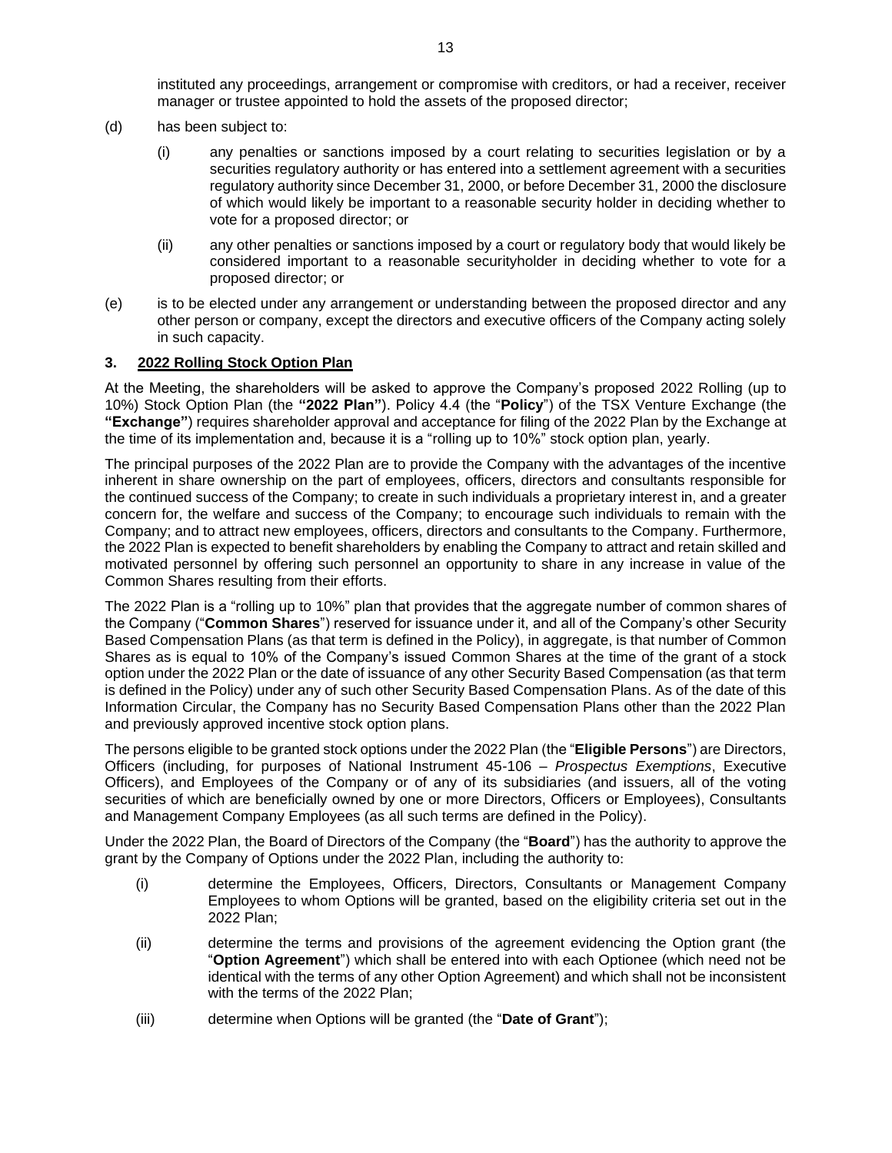instituted any proceedings, arrangement or compromise with creditors, or had a receiver, receiver manager or trustee appointed to hold the assets of the proposed director;

- (d) has been subject to:
	- (i) any penalties or sanctions imposed by a court relating to securities legislation or by a securities regulatory authority or has entered into a settlement agreement with a securities regulatory authority since December 31, 2000, or before December 31, 2000 the disclosure of which would likely be important to a reasonable security holder in deciding whether to vote for a proposed director; or
	- (ii) any other penalties or sanctions imposed by a court or regulatory body that would likely be considered important to a reasonable securityholder in deciding whether to vote for a proposed director; or
- (e) is to be elected under any arrangement or understanding between the proposed director and any other person or company, except the directors and executive officers of the Company acting solely in such capacity.

## **3. 2022 Rolling Stock Option Plan**

At the Meeting, the shareholders will be asked to approve the Company's proposed 2022 Rolling (up to 10%) Stock Option Plan (the **"2022 Plan"**). Policy 4.4 (the "**Policy**") of the TSX Venture Exchange (the **"Exchange"**) requires shareholder approval and acceptance for filing of the 2022 Plan by the Exchange at the time of its implementation and, because it is a "rolling up to 10%" stock option plan, yearly.

The principal purposes of the 2022 Plan are to provide the Company with the advantages of the incentive inherent in share ownership on the part of employees, officers, directors and consultants responsible for the continued success of the Company; to create in such individuals a proprietary interest in, and a greater concern for, the welfare and success of the Company; to encourage such individuals to remain with the Company; and to attract new employees, officers, directors and consultants to the Company. Furthermore, the 2022 Plan is expected to benefit shareholders by enabling the Company to attract and retain skilled and motivated personnel by offering such personnel an opportunity to share in any increase in value of the Common Shares resulting from their efforts.

The 2022 Plan is a "rolling up to 10%" plan that provides that the aggregate number of common shares of the Company ("**Common Shares**") reserved for issuance under it, and all of the Company's other Security Based Compensation Plans (as that term is defined in the Policy), in aggregate, is that number of Common Shares as is equal to 10% of the Company's issued Common Shares at the time of the grant of a stock option under the 2022 Plan or the date of issuance of any other Security Based Compensation (as that term is defined in the Policy) under any of such other Security Based Compensation Plans. As of the date of this Information Circular, the Company has no Security Based Compensation Plans other than the 2022 Plan and previously approved incentive stock option plans.

The persons eligible to be granted stock options under the 2022 Plan (the "**Eligible Persons**") are Directors, Officers (including, for purposes of National Instrument 45-106 – *Prospectus Exemptions*, Executive Officers), and Employees of the Company or of any of its subsidiaries (and issuers, all of the voting securities of which are beneficially owned by one or more Directors, Officers or Employees), Consultants and Management Company Employees (as all such terms are defined in the Policy).

Under the 2022 Plan, the Board of Directors of the Company (the "**Board**") has the authority to approve the grant by the Company of Options under the 2022 Plan, including the authority to:

- (i) determine the Employees, Officers, Directors, Consultants or Management Company Employees to whom Options will be granted, based on the eligibility criteria set out in the 2022 Plan;
- (ii) determine the terms and provisions of the agreement evidencing the Option grant (the "**Option Agreement**") which shall be entered into with each Optionee (which need not be identical with the terms of any other Option Agreement) and which shall not be inconsistent with the terms of the 2022 Plan;
- (iii) determine when Options will be granted (the "**Date of Grant**");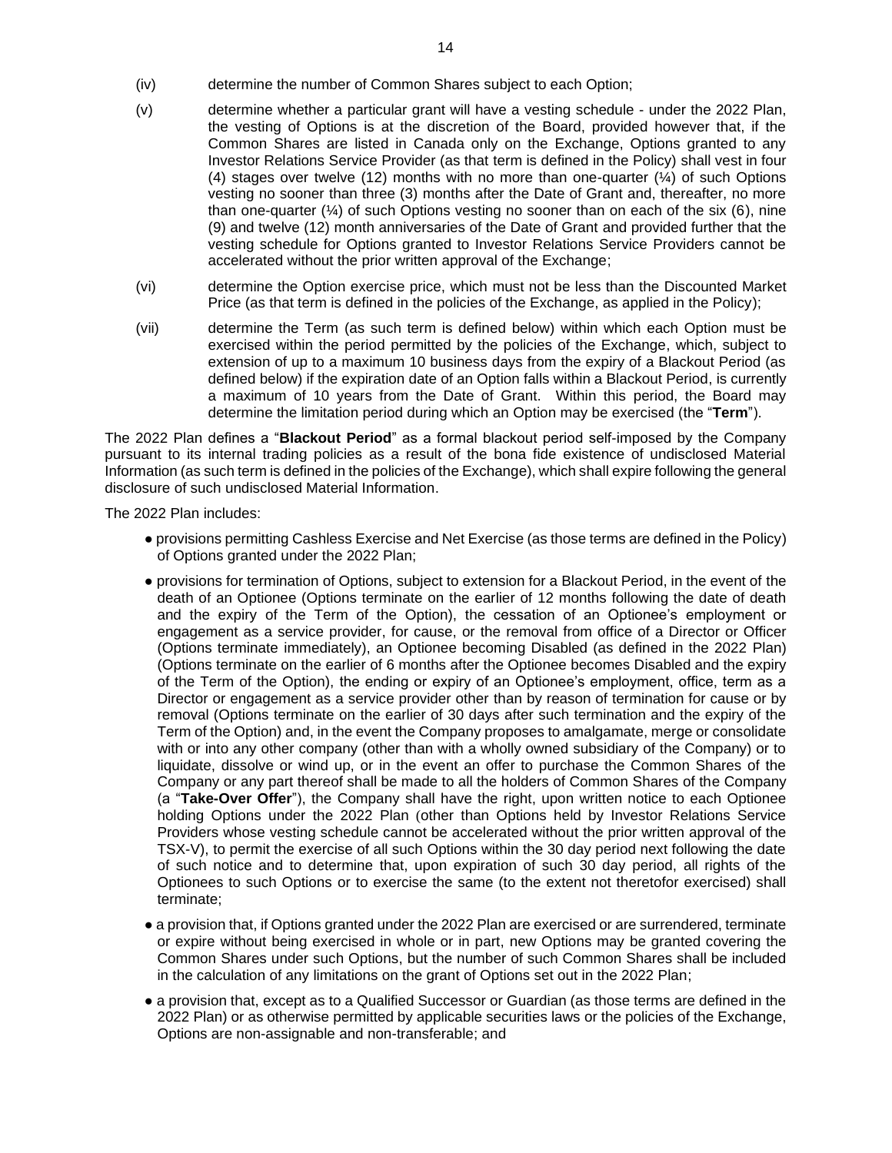- (iv) determine the number of Common Shares subject to each Option;
- (v) determine whether a particular grant will have a vesting schedule under the 2022 Plan, the vesting of Options is at the discretion of the Board, provided however that, if the Common Shares are listed in Canada only on the Exchange, Options granted to any Investor Relations Service Provider (as that term is defined in the Policy) shall vest in four (4) stages over twelve (12) months with no more than one-quarter  $(\frac{1}{4})$  of such Options vesting no sooner than three (3) months after the Date of Grant and, thereafter, no more than one-quarter  $(4)$  of such Options vesting no sooner than on each of the six (6), nine (9) and twelve (12) month anniversaries of the Date of Grant and provided further that the vesting schedule for Options granted to Investor Relations Service Providers cannot be accelerated without the prior written approval of the Exchange;
- (vi) determine the Option exercise price, which must not be less than the Discounted Market Price (as that term is defined in the policies of the Exchange, as applied in the Policy);
- (vii) determine the Term (as such term is defined below) within which each Option must be exercised within the period permitted by the policies of the Exchange, which, subject to extension of up to a maximum 10 business days from the expiry of a Blackout Period (as defined below) if the expiration date of an Option falls within a Blackout Period, is currently a maximum of 10 years from the Date of Grant. Within this period, the Board may determine the limitation period during which an Option may be exercised (the "**Term**").

The 2022 Plan defines a "**Blackout Period**" as a formal blackout period self-imposed by the Company pursuant to its internal trading policies as a result of the bona fide existence of undisclosed Material Information (as such term is defined in the policies of the Exchange), which shall expire following the general disclosure of such undisclosed Material Information.

The 2022 Plan includes:

- provisions permitting Cashless Exercise and Net Exercise (as those terms are defined in the Policy) of Options granted under the 2022 Plan;
- provisions for termination of Options, subject to extension for a Blackout Period, in the event of the death of an Optionee (Options terminate on the earlier of 12 months following the date of death and the expiry of the Term of the Option), the cessation of an Optionee's employment or engagement as a service provider, for cause, or the removal from office of a Director or Officer (Options terminate immediately), an Optionee becoming Disabled (as defined in the 2022 Plan) (Options terminate on the earlier of 6 months after the Optionee becomes Disabled and the expiry of the Term of the Option), the ending or expiry of an Optionee's employment, office, term as a Director or engagement as a service provider other than by reason of termination for cause or by removal (Options terminate on the earlier of 30 days after such termination and the expiry of the Term of the Option) and, in the event the Company proposes to amalgamate, merge or consolidate with or into any other company (other than with a wholly owned subsidiary of the Company) or to liquidate, dissolve or wind up, or in the event an offer to purchase the Common Shares of the Company or any part thereof shall be made to all the holders of Common Shares of the Company (a "**Take-Over Offer**"), the Company shall have the right, upon written notice to each Optionee holding Options under the 2022 Plan (other than Options held by Investor Relations Service Providers whose vesting schedule cannot be accelerated without the prior written approval of the TSX-V), to permit the exercise of all such Options within the 30 day period next following the date of such notice and to determine that, upon expiration of such 30 day period, all rights of the Optionees to such Options or to exercise the same (to the extent not theretofor exercised) shall terminate;
- a provision that, if Options granted under the 2022 Plan are exercised or are surrendered, terminate or expire without being exercised in whole or in part, new Options may be granted covering the Common Shares under such Options, but the number of such Common Shares shall be included in the calculation of any limitations on the grant of Options set out in the 2022 Plan;
- a provision that, except as to a Qualified Successor or Guardian (as those terms are defined in the 2022 Plan) or as otherwise permitted by applicable securities laws or the policies of the Exchange, Options are non-assignable and non-transferable; and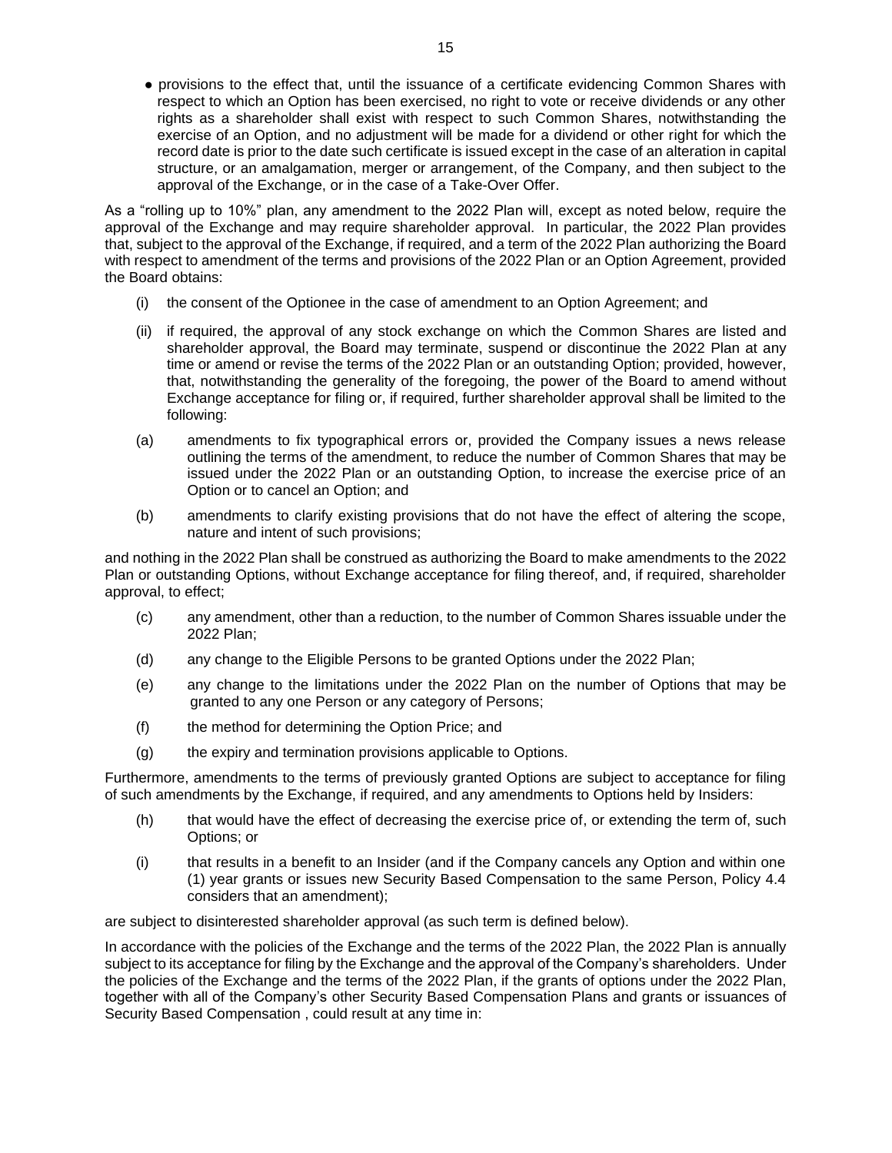● provisions to the effect that, until the issuance of a certificate evidencing Common Shares with respect to which an Option has been exercised, no right to vote or receive dividends or any other rights as a shareholder shall exist with respect to such Common Shares, notwithstanding the exercise of an Option, and no adjustment will be made for a dividend or other right for which the record date is prior to the date such certificate is issued except in the case of an alteration in capital structure, or an amalgamation, merger or arrangement, of the Company, and then subject to the approval of the Exchange, or in the case of a Take-Over Offer.

As a "rolling up to 10%" plan, any amendment to the 2022 Plan will, except as noted below, require the approval of the Exchange and may require shareholder approval. In particular, the 2022 Plan provides that, subject to the approval of the Exchange, if required, and a term of the 2022 Plan authorizing the Board with respect to amendment of the terms and provisions of the 2022 Plan or an Option Agreement, provided the Board obtains:

- (i) the consent of the Optionee in the case of amendment to an Option Agreement; and
- (ii) if required, the approval of any stock exchange on which the Common Shares are listed and shareholder approval, the Board may terminate, suspend or discontinue the 2022 Plan at any time or amend or revise the terms of the 2022 Plan or an outstanding Option; provided, however, that, notwithstanding the generality of the foregoing, the power of the Board to amend without Exchange acceptance for filing or, if required, further shareholder approval shall be limited to the following:
- (a) amendments to fix typographical errors or, provided the Company issues a news release outlining the terms of the amendment, to reduce the number of Common Shares that may be issued under the 2022 Plan or an outstanding Option, to increase the exercise price of an Option or to cancel an Option; and
- (b) amendments to clarify existing provisions that do not have the effect of altering the scope, nature and intent of such provisions;

and nothing in the 2022 Plan shall be construed as authorizing the Board to make amendments to the 2022 Plan or outstanding Options, without Exchange acceptance for filing thereof, and, if required, shareholder approval, to effect;

- (c) any amendment, other than a reduction, to the number of Common Shares issuable under the 2022 Plan;
- (d) any change to the Eligible Persons to be granted Options under the 2022 Plan;
- (e) any change to the limitations under the 2022 Plan on the number of Options that may be granted to any one Person or any category of Persons;
- (f) the method for determining the Option Price; and
- (g) the expiry and termination provisions applicable to Options.

Furthermore, amendments to the terms of previously granted Options are subject to acceptance for filing of such amendments by the Exchange, if required, and any amendments to Options held by Insiders:

- (h) that would have the effect of decreasing the exercise price of, or extending the term of, such Options; or
- (i) that results in a benefit to an Insider (and if the Company cancels any Option and within one (1) year grants or issues new Security Based Compensation to the same Person, Policy 4.4 considers that an amendment);

are subject to disinterested shareholder approval (as such term is defined below).

In accordance with the policies of the Exchange and the terms of the 2022 Plan, the 2022 Plan is annually subject to its acceptance for filing by the Exchange and the approval of the Company's shareholders. Under the policies of the Exchange and the terms of the 2022 Plan, if the grants of options under the 2022 Plan, together with all of the Company's other Security Based Compensation Plans and grants or issuances of Security Based Compensation , could result at any time in: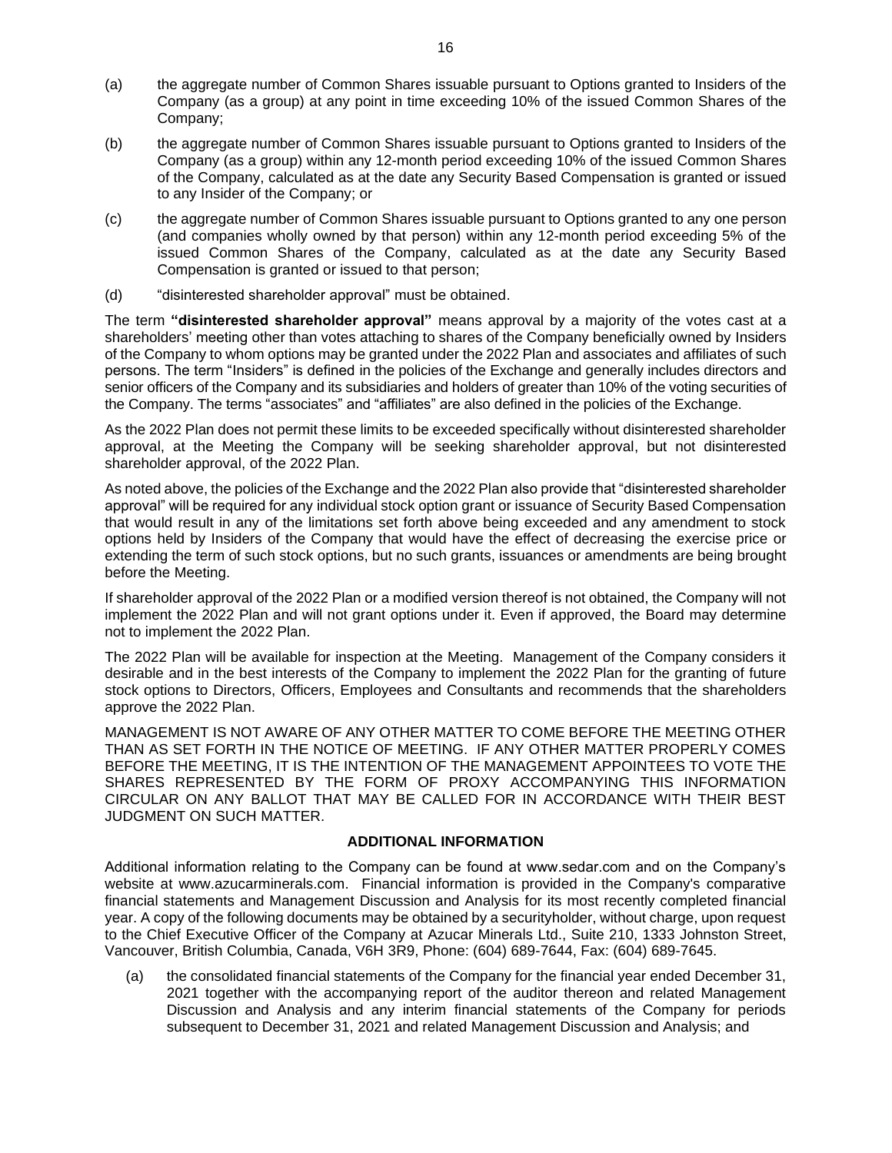- (a) the aggregate number of Common Shares issuable pursuant to Options granted to Insiders of the Company (as a group) at any point in time exceeding 10% of the issued Common Shares of the Company;
- (b) the aggregate number of Common Shares issuable pursuant to Options granted to Insiders of the Company (as a group) within any 12-month period exceeding 10% of the issued Common Shares of the Company, calculated as at the date any Security Based Compensation is granted or issued to any Insider of the Company; or
- (c) the aggregate number of Common Shares issuable pursuant to Options granted to any one person (and companies wholly owned by that person) within any 12-month period exceeding 5% of the issued Common Shares of the Company, calculated as at the date any Security Based Compensation is granted or issued to that person;
- (d) "disinterested shareholder approval" must be obtained.

The term **"disinterested shareholder approval"** means approval by a majority of the votes cast at a shareholders' meeting other than votes attaching to shares of the Company beneficially owned by Insiders of the Company to whom options may be granted under the 2022 Plan and associates and affiliates of such persons. The term "Insiders" is defined in the policies of the Exchange and generally includes directors and senior officers of the Company and its subsidiaries and holders of greater than 10% of the voting securities of the Company. The terms "associates" and "affiliates" are also defined in the policies of the Exchange.

As the 2022 Plan does not permit these limits to be exceeded specifically without disinterested shareholder approval, at the Meeting the Company will be seeking shareholder approval, but not disinterested shareholder approval, of the 2022 Plan.

As noted above, the policies of the Exchange and the 2022 Plan also provide that "disinterested shareholder approval" will be required for any individual stock option grant or issuance of Security Based Compensation that would result in any of the limitations set forth above being exceeded and any amendment to stock options held by Insiders of the Company that would have the effect of decreasing the exercise price or extending the term of such stock options, but no such grants, issuances or amendments are being brought before the Meeting.

If shareholder approval of the 2022 Plan or a modified version thereof is not obtained, the Company will not implement the 2022 Plan and will not grant options under it. Even if approved, the Board may determine not to implement the 2022 Plan.

The 2022 Plan will be available for inspection at the Meeting. Management of the Company considers it desirable and in the best interests of the Company to implement the 2022 Plan for the granting of future stock options to Directors, Officers, Employees and Consultants and recommends that the shareholders approve the 2022 Plan.

MANAGEMENT IS NOT AWARE OF ANY OTHER MATTER TO COME BEFORE THE MEETING OTHER THAN AS SET FORTH IN THE NOTICE OF MEETING. IF ANY OTHER MATTER PROPERLY COMES BEFORE THE MEETING, IT IS THE INTENTION OF THE MANAGEMENT APPOINTEES TO VOTE THE SHARES REPRESENTED BY THE FORM OF PROXY ACCOMPANYING THIS INFORMATION CIRCULAR ON ANY BALLOT THAT MAY BE CALLED FOR IN ACCORDANCE WITH THEIR BEST JUDGMENT ON SUCH MATTER.

# **ADDITIONAL INFORMATION**

Additional information relating to the Company can be found at www.sedar.com and on the Company's website at www.azucarminerals.com. Financial information is provided in the Company's comparative financial statements and Management Discussion and Analysis for its most recently completed financial year. A copy of the following documents may be obtained by a securityholder, without charge, upon request to the Chief Executive Officer of the Company at Azucar Minerals Ltd., Suite 210, 1333 Johnston Street, Vancouver, British Columbia, Canada, V6H 3R9, Phone: (604) 689-7644, Fax: (604) 689-7645.

(a) the consolidated financial statements of the Company for the financial year ended December 31, 2021 together with the accompanying report of the auditor thereon and related Management Discussion and Analysis and any interim financial statements of the Company for periods subsequent to December 31, 2021 and related Management Discussion and Analysis; and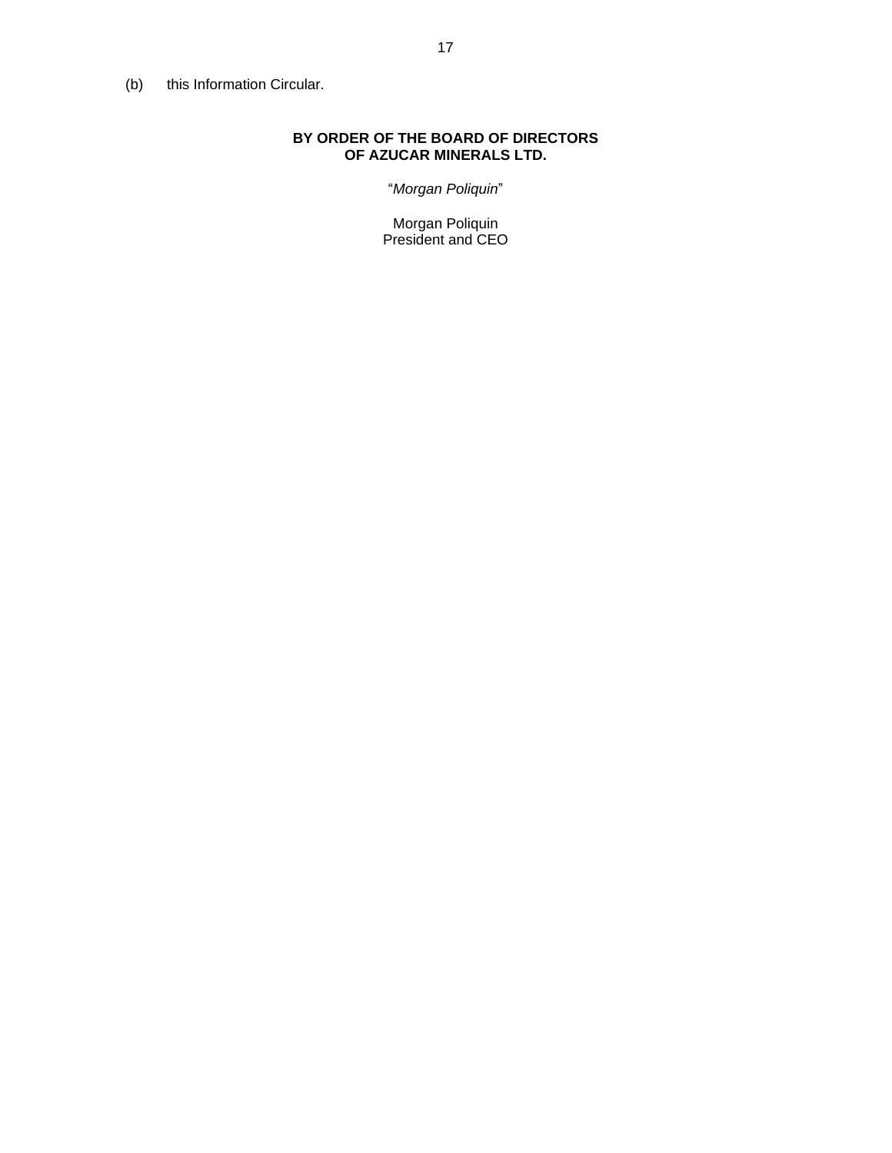(b) this Information Circular.

# **BY ORDER OF THE BOARD OF DIRECTORS OF AZUCAR MINERALS LTD.**

"*Morgan Poliquin*"

Morgan Poliquin President and CEO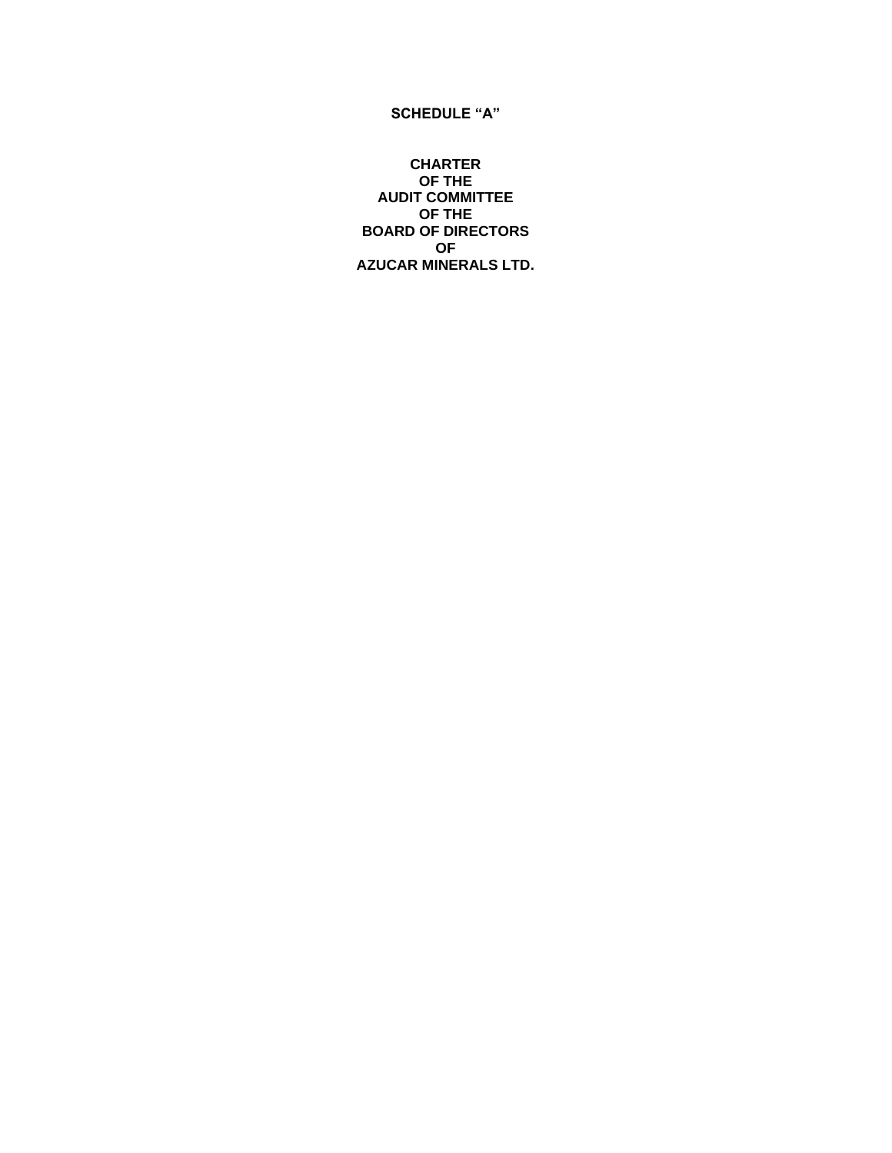## **SCHEDULE "A"**

**CHARTER OF THE AUDIT COMMITTEE OF THE BOARD OF DIRECTORS OF AZUCAR MINERALS LTD.**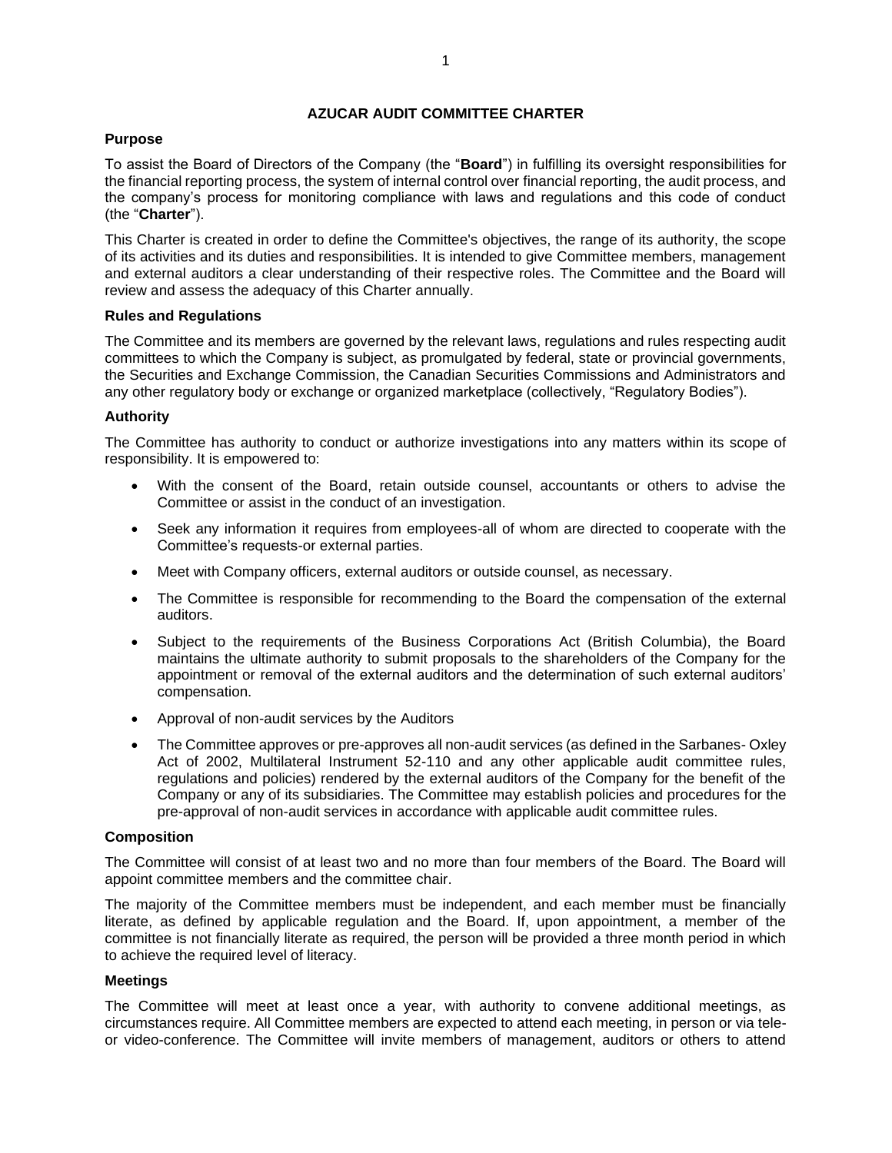## **AZUCAR AUDIT COMMITTEE CHARTER**

## **Purpose**

To assist the Board of Directors of the Company (the "**Board**") in fulfilling its oversight responsibilities for the financial reporting process, the system of internal control over financial reporting, the audit process, and the company's process for monitoring compliance with laws and regulations and this code of conduct (the "**Charter**").

This Charter is created in order to define the Committee's objectives, the range of its authority, the scope of its activities and its duties and responsibilities. It is intended to give Committee members, management and external auditors a clear understanding of their respective roles. The Committee and the Board will review and assess the adequacy of this Charter annually.

### **Rules and Regulations**

The Committee and its members are governed by the relevant laws, regulations and rules respecting audit committees to which the Company is subject, as promulgated by federal, state or provincial governments, the Securities and Exchange Commission, the Canadian Securities Commissions and Administrators and any other regulatory body or exchange or organized marketplace (collectively, "Regulatory Bodies").

## **Authority**

The Committee has authority to conduct or authorize investigations into any matters within its scope of responsibility. It is empowered to:

- With the consent of the Board, retain outside counsel, accountants or others to advise the Committee or assist in the conduct of an investigation.
- Seek any information it requires from employees-all of whom are directed to cooperate with the Committee's requests-or external parties.
- Meet with Company officers, external auditors or outside counsel, as necessary.
- The Committee is responsible for recommending to the Board the compensation of the external auditors.
- Subject to the requirements of the Business Corporations Act (British Columbia), the Board maintains the ultimate authority to submit proposals to the shareholders of the Company for the appointment or removal of the external auditors and the determination of such external auditors' compensation.
- Approval of non-audit services by the Auditors
- The Committee approves or pre-approves all non-audit services (as defined in the Sarbanes- Oxley Act of 2002, Multilateral Instrument 52-110 and any other applicable audit committee rules, regulations and policies) rendered by the external auditors of the Company for the benefit of the Company or any of its subsidiaries. The Committee may establish policies and procedures for the pre-approval of non-audit services in accordance with applicable audit committee rules.

## **Composition**

The Committee will consist of at least two and no more than four members of the Board. The Board will appoint committee members and the committee chair.

The majority of the Committee members must be independent, and each member must be financially literate, as defined by applicable regulation and the Board. If, upon appointment, a member of the committee is not financially literate as required, the person will be provided a three month period in which to achieve the required level of literacy.

### **Meetings**

The Committee will meet at least once a year, with authority to convene additional meetings, as circumstances require. All Committee members are expected to attend each meeting, in person or via teleor video-conference. The Committee will invite members of management, auditors or others to attend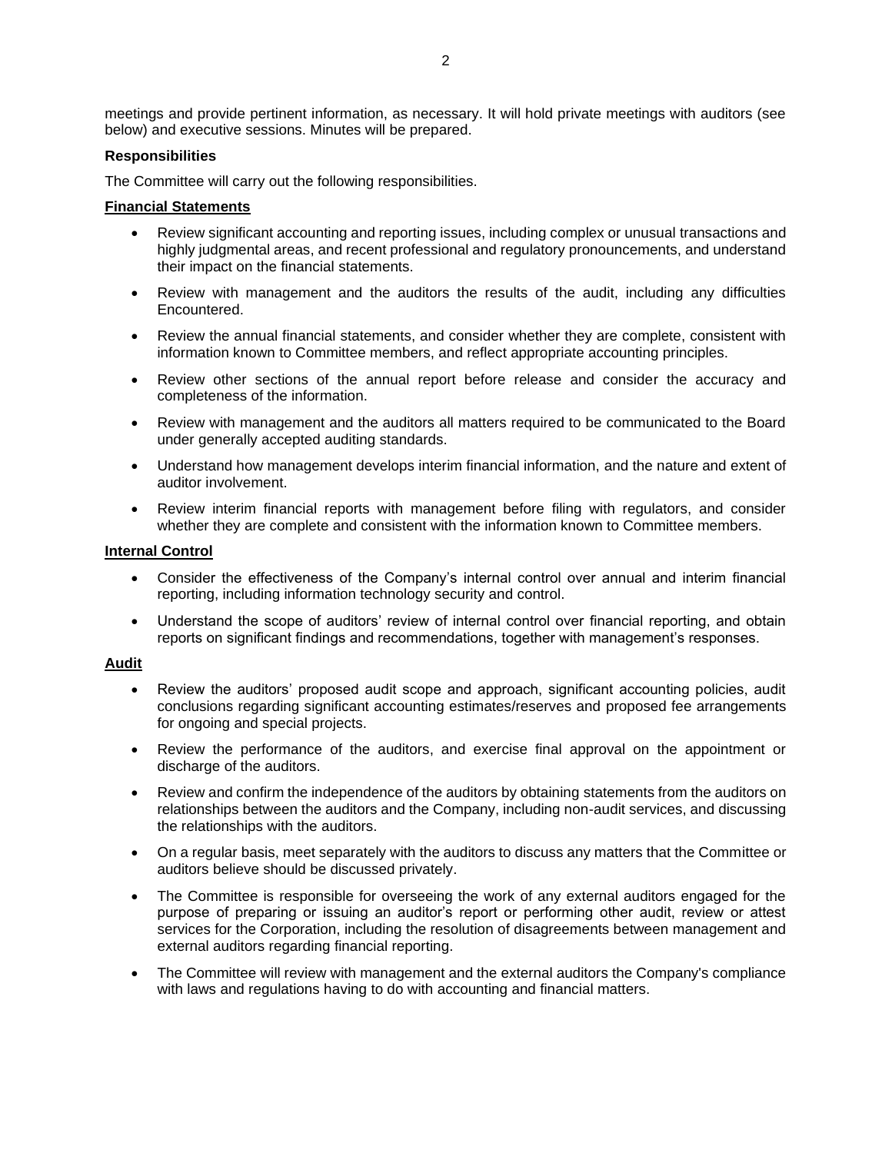meetings and provide pertinent information, as necessary. It will hold private meetings with auditors (see below) and executive sessions. Minutes will be prepared.

## **Responsibilities**

The Committee will carry out the following responsibilities.

## **Financial Statements**

- Review significant accounting and reporting issues, including complex or unusual transactions and highly judgmental areas, and recent professional and regulatory pronouncements, and understand their impact on the financial statements.
- Review with management and the auditors the results of the audit, including any difficulties Encountered.
- Review the annual financial statements, and consider whether they are complete, consistent with information known to Committee members, and reflect appropriate accounting principles.
- Review other sections of the annual report before release and consider the accuracy and completeness of the information.
- Review with management and the auditors all matters required to be communicated to the Board under generally accepted auditing standards.
- Understand how management develops interim financial information, and the nature and extent of auditor involvement.
- Review interim financial reports with management before filing with regulators, and consider whether they are complete and consistent with the information known to Committee members.

### **Internal Control**

- Consider the effectiveness of the Company's internal control over annual and interim financial reporting, including information technology security and control.
- Understand the scope of auditors' review of internal control over financial reporting, and obtain reports on significant findings and recommendations, together with management's responses.

### **Audit**

- Review the auditors' proposed audit scope and approach, significant accounting policies, audit conclusions regarding significant accounting estimates/reserves and proposed fee arrangements for ongoing and special projects.
- Review the performance of the auditors, and exercise final approval on the appointment or discharge of the auditors.
- Review and confirm the independence of the auditors by obtaining statements from the auditors on relationships between the auditors and the Company, including non-audit services, and discussing the relationships with the auditors.
- On a regular basis, meet separately with the auditors to discuss any matters that the Committee or auditors believe should be discussed privately.
- The Committee is responsible for overseeing the work of any external auditors engaged for the purpose of preparing or issuing an auditor's report or performing other audit, review or attest services for the Corporation, including the resolution of disagreements between management and external auditors regarding financial reporting.
- The Committee will review with management and the external auditors the Company's compliance with laws and regulations having to do with accounting and financial matters.